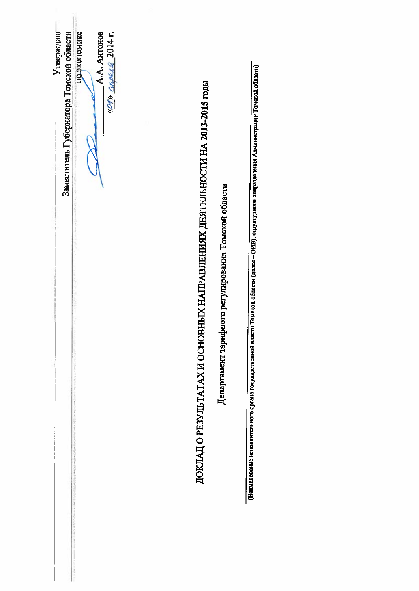по экономике Утверждаю Заместитель Губернатора Томской области  $\frac{\omega y}{2} \frac{\omega \rho \rho L Q}{2014}$  r. A.A. AHTOHOB ДОКЛАД О РЕЗУЛЬТАТАХ И ОСНОВНЫХ НАПРАВЛЕНИЯХ ДЕЯТЕЛЬНОСТИ НА 2013-2015 годы Департамент тарифного регулирования Томской области

(Наименование исполнительного органа государственной власти Томской области (далее – ОИВ), структурного подразделения Администрации Томской области)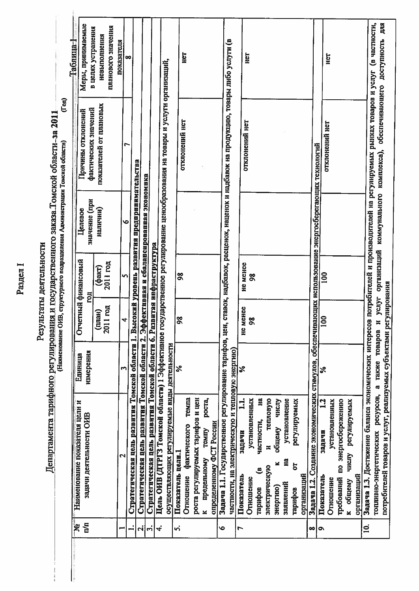Раздел I

Результаты деятельности

Департамента тарифного регулирования и государственного заказа Томской области-за 2011.

 $\label{eq:1} \frac{1}{2} \frac{1}{2} \frac{1}{2} \frac{1}{2} \frac{1}{2} \frac{1}{2} \frac{1}{2} \frac{1}{2} \frac{1}{2} \frac{1}{2} \frac{1}{2} \frac{1}{2} \frac{1}{2} \frac{1}{2} \frac{1}{2} \frac{1}{2} \frac{1}{2} \frac{1}{2} \frac{1}{2} \frac{1}{2} \frac{1}{2} \frac{1}{2} \frac{1}{2} \frac{1}{2} \frac{1}{2} \frac{1}{2} \frac{1}{2} \frac{1}{2} \frac{1}{2} \frac{1}{2} \frac{$ 

 $(\Gamma_{011})$ 

| اع<br>آ                     |                                                                                                                                            |                      |               |                            |                                               |                                                                               | Таблица-1                          |
|-----------------------------|--------------------------------------------------------------------------------------------------------------------------------------------|----------------------|---------------|----------------------------|-----------------------------------------------|-------------------------------------------------------------------------------|------------------------------------|
| $\mathbb{Z}$                | Наименование показателя цели и<br>задачи деятельности ОИВ                                                                                  | измерения<br>Единица |               | Отчетный финансовый<br>Бol | значение (при<br>Целевое                      | Причины отклонений                                                            | Меры, принимаемые                  |
|                             |                                                                                                                                            |                      | (mam)         | (факт)                     | наличии)                                      | показателей от плановых<br>фактических значений                               | в целях устранения<br>невыполнения |
|                             |                                                                                                                                            |                      | 2011 год      | 2011 год                   |                                               |                                                                               | планового значения                 |
|                             | $\mathbf{\Omega}$                                                                                                                          | S                    | 4             | <b>i</b> n                 | ۱o                                            | ۴                                                                             | показателя                         |
| Ľ                           | Стратегическая цель развития Томской области 1. Высокий уровень развития предпринимательства                                               |                      |               |                            |                                               |                                                                               | ∞                                  |
| $\left  \mathbf{c} \right $ | Стратегическая цель развития Томской области 2. Эффективная и сбалансированная экономика                                                   |                      |               |                            |                                               |                                                                               |                                    |
| $\vec{r}$                   | Стратегическая цель развития Томской области 6. Развитая инфраструктура                                                                    |                      |               |                            |                                               |                                                                               |                                    |
| ₹                           | Цель ОИВ (ДТРГЗ Томской области) 1 Эффективное                                                                                             |                      |               |                            |                                               | государственное регулирование ценообразования на товары и услуги организаций, |                                    |
|                             | осуществляющих регулируемые виды деятельности                                                                                              |                      |               |                            |                                               |                                                                               |                                    |
| ni                          | Показатель целн.                                                                                                                           | న                    | $\frac{8}{5}$ | $\frac{8}{20}$             |                                               | отклонений нет                                                                |                                    |
|                             | темпа<br>фактического<br>Отношение                                                                                                         |                      |               |                            |                                               |                                                                               | HeT                                |
|                             | роста регулируемых тарифов и цен                                                                                                           |                      |               |                            |                                               |                                                                               |                                    |
|                             | pocra,<br><b>TEMITY</b><br>предельному<br>¥                                                                                                |                      |               |                            |                                               |                                                                               |                                    |
|                             | определенному ФСТ России                                                                                                                   |                      |               |                            |                                               |                                                                               |                                    |
| Ó                           | Задача 1.1. Государственное регулирование тарифов, цен, ставок, надбавок, расценок, наценок и надбавок на продукцию, товары либо услуги (в |                      |               |                            |                                               |                                                                               |                                    |
|                             | частности, на электрическую и тепловую энергию)                                                                                            |                      |               |                            |                                               |                                                                               |                                    |
| Ľ                           | $\mathbf{1}$<br>задачи<br>Показатель                                                                                                       | ر<br>ج               | MeHee<br>g    | <b>He MeHee</b>            |                                               | отклонений нет                                                                |                                    |
|                             | установленных<br>Отношение                                                                                                                 |                      | $\frac{8}{5}$ | $\frac{8}{2}$              |                                               |                                                                               | Het                                |
|                             | Ha<br>частности,<br>ತಿ<br>тарифов                                                                                                          |                      |               |                            |                                               |                                                                               |                                    |
|                             | тепловую<br>E<br>электрическую                                                                                                             |                      |               |                            |                                               |                                                                               |                                    |
|                             | общему числу<br>×<br>энергию)                                                                                                              |                      |               |                            |                                               |                                                                               |                                    |
|                             | установление<br>Ħ<br>заявлений                                                                                                             |                      |               |                            |                                               |                                                                               |                                    |
|                             | регулируемых<br>5<br>тарифов                                                                                                               |                      |               |                            |                                               |                                                                               |                                    |
|                             | организаций                                                                                                                                |                      |               |                            |                                               |                                                                               |                                    |
| $\infty$                    | Задача 1.2. Создание экономических стимулов, обеспечивающих использование энергосберегающих технологий                                     |                      |               |                            |                                               |                                                                               |                                    |
| Q                           | 12<br>задачи<br>Показатель                                                                                                                 | వ్                   | 100           | $\mathsf{S}$               |                                               | отклонений нет                                                                |                                    |
|                             | установленных<br>Отношение                                                                                                                 |                      |               |                            |                                               |                                                                               | Her                                |
|                             | требований по энергосбережению                                                                                                             |                      |               |                            |                                               |                                                                               |                                    |
|                             | регулируемых<br><b>HIGHP</b><br>общему<br>$\ge$                                                                                            |                      |               |                            |                                               |                                                                               |                                    |
|                             | организаций                                                                                                                                |                      |               |                            |                                               |                                                                               |                                    |
| $\overline{a}$              | Задача 1.3. Достижение баланса экономических интересов потребителей и производителей на регулируемых рынках товаров и услуг (в частности,  |                      |               |                            |                                               |                                                                               |                                    |
|                             | топливно-энергетических ресурсов, а также товаров                                                                                          |                      |               |                            | и услуг организаций коммунального комплекса), |                                                                               | обеспечивающего доступность для    |
|                             | потребителей товаров и услуг, реализуемых субъектами регулирования                                                                         |                      |               |                            |                                               |                                                                               |                                    |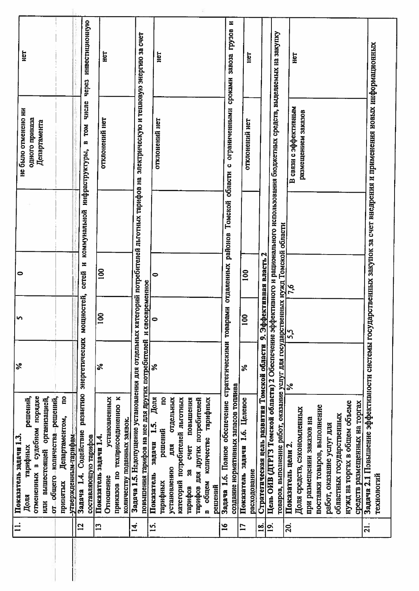| размещением заказов<br>одного приказа<br>отклонений нет<br>отклонений нет<br>отклонений нет<br>Департамента<br>TOM<br>m<br>коммунальной инфраструктуры,<br>ပ<br>отдаленных районов Томской области<br>Задача 1.5. Недопущение установления для отдельных категорий потребителей льготных тарифов на<br>товаров, выполнение работ, оказание услуг для государственных нужд Томской области<br>Стратегическая цель развития Томской области 9. Эффективная власть 2<br>×<br>$\overline{a}$<br>$\frac{8}{100}$<br>cereñ<br>0<br>повышения тарифов на нее для других потребителей и своевременное<br>7,6<br>ностей,<br>Задача 1.6. Полное обеспечение стратегическими товарами<br>MOILH<br>$\overline{100}$<br>$\bullet$<br>$\bf{\bar{e}}$<br>5,5<br>энергетических<br>న<br>℅<br>$\aleph$<br>వి<br>создание нормативных запасов топлива<br>развитию<br>отмененных в судебном порядке<br>решений,<br>от общего количества решений,<br>g<br>приказов по техприсоединению к<br>или вышестоящей организацией,<br>установленных<br>отдельных<br>Доля<br>g<br>категорий потребителей льготных<br>повышения<br>тарифов для других потребителей<br>тарифных<br>Показатель задачи 1.6. Целевое<br>нужд на торгах в общем объеме<br>средств размещенных на торгах<br>поставки товаров, выполнение<br>Доля средств, сэкономленных<br>областных государственных<br>Департаментом,<br>при размешении заказов на<br>количеству поданных заявок.<br>$\mathbf{15}$<br>работ, оказание услуг для<br>решений<br>Задача 1.4. Содействие<br>утвержденным-тарифам-<br>составляющую тарифов<br>Показатель задачи 1.4.<br>количестве<br>задачи<br>ДЛЯ<br>Показатель цели 2.<br><b>CHET</b><br>тарифных<br>установлению<br>ន្ល<br>расходование<br>Показатель<br>Отношение<br>тарифных<br>принятых<br>общем<br>тарифов<br>решений<br>Доля<br>$\blacksquare$<br>14.<br>ธุ<br>$\overline{2}$<br>$\mathbf{L}$<br>$\mathbf{S}$<br>20.<br><u>ี่ตุ๋</u><br>$\mathbf{L}$<br>$\tilde{=}$<br>$\overline{a}$ | инвестиционную<br>грузов<br>Цель ОИВ (ДТРГЗ Томской области) 2 Обеспечение эффективного и рационального использования бюджетных средств, выделяемых на закупку<br>электрическую и тепловую энергию за счет<br>рственных закупок за счет внедрения и применения новых информационных<br>Ë<br>НËТ<br>нeт<br>Het<br>3aBO32<br>сроками<br><b>Hepes</b><br>числе<br>В связи с эффективным<br>ограниченными<br>Задача 2.1 Повышение эффективности системы госуда<br>технологий |  |   |
|-----------------------------------------------------------------------------------------------------------------------------------------------------------------------------------------------------------------------------------------------------------------------------------------------------------------------------------------------------------------------------------------------------------------------------------------------------------------------------------------------------------------------------------------------------------------------------------------------------------------------------------------------------------------------------------------------------------------------------------------------------------------------------------------------------------------------------------------------------------------------------------------------------------------------------------------------------------------------------------------------------------------------------------------------------------------------------------------------------------------------------------------------------------------------------------------------------------------------------------------------------------------------------------------------------------------------------------------------------------------------------------------------------------------------------------------------------------------------------------------------------------------------------------------------------------------------------------------------------------------------------------------------------------------------------------------------------------------------------------------------------------------------------------------------------------------------------------------------------------------------------------------------------------------------------------------------------------------------|--------------------------------------------------------------------------------------------------------------------------------------------------------------------------------------------------------------------------------------------------------------------------------------------------------------------------------------------------------------------------------------------------------------------------------------------------------------------------|--|---|
|                                                                                                                                                                                                                                                                                                                                                                                                                                                                                                                                                                                                                                                                                                                                                                                                                                                                                                                                                                                                                                                                                                                                                                                                                                                                                                                                                                                                                                                                                                                                                                                                                                                                                                                                                                                                                                                                                                                                                                       |                                                                                                                                                                                                                                                                                                                                                                                                                                                                          |  |   |
|                                                                                                                                                                                                                                                                                                                                                                                                                                                                                                                                                                                                                                                                                                                                                                                                                                                                                                                                                                                                                                                                                                                                                                                                                                                                                                                                                                                                                                                                                                                                                                                                                                                                                                                                                                                                                                                                                                                                                                       |                                                                                                                                                                                                                                                                                                                                                                                                                                                                          |  |   |
|                                                                                                                                                                                                                                                                                                                                                                                                                                                                                                                                                                                                                                                                                                                                                                                                                                                                                                                                                                                                                                                                                                                                                                                                                                                                                                                                                                                                                                                                                                                                                                                                                                                                                                                                                                                                                                                                                                                                                                       |                                                                                                                                                                                                                                                                                                                                                                                                                                                                          |  |   |
|                                                                                                                                                                                                                                                                                                                                                                                                                                                                                                                                                                                                                                                                                                                                                                                                                                                                                                                                                                                                                                                                                                                                                                                                                                                                                                                                                                                                                                                                                                                                                                                                                                                                                                                                                                                                                                                                                                                                                                       |                                                                                                                                                                                                                                                                                                                                                                                                                                                                          |  |   |
|                                                                                                                                                                                                                                                                                                                                                                                                                                                                                                                                                                                                                                                                                                                                                                                                                                                                                                                                                                                                                                                                                                                                                                                                                                                                                                                                                                                                                                                                                                                                                                                                                                                                                                                                                                                                                                                                                                                                                                       |                                                                                                                                                                                                                                                                                                                                                                                                                                                                          |  |   |
|                                                                                                                                                                                                                                                                                                                                                                                                                                                                                                                                                                                                                                                                                                                                                                                                                                                                                                                                                                                                                                                                                                                                                                                                                                                                                                                                                                                                                                                                                                                                                                                                                                                                                                                                                                                                                                                                                                                                                                       |                                                                                                                                                                                                                                                                                                                                                                                                                                                                          |  |   |
|                                                                                                                                                                                                                                                                                                                                                                                                                                                                                                                                                                                                                                                                                                                                                                                                                                                                                                                                                                                                                                                                                                                                                                                                                                                                                                                                                                                                                                                                                                                                                                                                                                                                                                                                                                                                                                                                                                                                                                       |                                                                                                                                                                                                                                                                                                                                                                                                                                                                          |  |   |
|                                                                                                                                                                                                                                                                                                                                                                                                                                                                                                                                                                                                                                                                                                                                                                                                                                                                                                                                                                                                                                                                                                                                                                                                                                                                                                                                                                                                                                                                                                                                                                                                                                                                                                                                                                                                                                                                                                                                                                       |                                                                                                                                                                                                                                                                                                                                                                                                                                                                          |  |   |
|                                                                                                                                                                                                                                                                                                                                                                                                                                                                                                                                                                                                                                                                                                                                                                                                                                                                                                                                                                                                                                                                                                                                                                                                                                                                                                                                                                                                                                                                                                                                                                                                                                                                                                                                                                                                                                                                                                                                                                       |                                                                                                                                                                                                                                                                                                                                                                                                                                                                          |  |   |
|                                                                                                                                                                                                                                                                                                                                                                                                                                                                                                                                                                                                                                                                                                                                                                                                                                                                                                                                                                                                                                                                                                                                                                                                                                                                                                                                                                                                                                                                                                                                                                                                                                                                                                                                                                                                                                                                                                                                                                       |                                                                                                                                                                                                                                                                                                                                                                                                                                                                          |  |   |
|                                                                                                                                                                                                                                                                                                                                                                                                                                                                                                                                                                                                                                                                                                                                                                                                                                                                                                                                                                                                                                                                                                                                                                                                                                                                                                                                                                                                                                                                                                                                                                                                                                                                                                                                                                                                                                                                                                                                                                       |                                                                                                                                                                                                                                                                                                                                                                                                                                                                          |  |   |
|                                                                                                                                                                                                                                                                                                                                                                                                                                                                                                                                                                                                                                                                                                                                                                                                                                                                                                                                                                                                                                                                                                                                                                                                                                                                                                                                                                                                                                                                                                                                                                                                                                                                                                                                                                                                                                                                                                                                                                       |                                                                                                                                                                                                                                                                                                                                                                                                                                                                          |  |   |
|                                                                                                                                                                                                                                                                                                                                                                                                                                                                                                                                                                                                                                                                                                                                                                                                                                                                                                                                                                                                                                                                                                                                                                                                                                                                                                                                                                                                                                                                                                                                                                                                                                                                                                                                                                                                                                                                                                                                                                       |                                                                                                                                                                                                                                                                                                                                                                                                                                                                          |  |   |
|                                                                                                                                                                                                                                                                                                                                                                                                                                                                                                                                                                                                                                                                                                                                                                                                                                                                                                                                                                                                                                                                                                                                                                                                                                                                                                                                                                                                                                                                                                                                                                                                                                                                                                                                                                                                                                                                                                                                                                       |                                                                                                                                                                                                                                                                                                                                                                                                                                                                          |  |   |
|                                                                                                                                                                                                                                                                                                                                                                                                                                                                                                                                                                                                                                                                                                                                                                                                                                                                                                                                                                                                                                                                                                                                                                                                                                                                                                                                                                                                                                                                                                                                                                                                                                                                                                                                                                                                                                                                                                                                                                       |                                                                                                                                                                                                                                                                                                                                                                                                                                                                          |  |   |
|                                                                                                                                                                                                                                                                                                                                                                                                                                                                                                                                                                                                                                                                                                                                                                                                                                                                                                                                                                                                                                                                                                                                                                                                                                                                                                                                                                                                                                                                                                                                                                                                                                                                                                                                                                                                                                                                                                                                                                       |                                                                                                                                                                                                                                                                                                                                                                                                                                                                          |  |   |
|                                                                                                                                                                                                                                                                                                                                                                                                                                                                                                                                                                                                                                                                                                                                                                                                                                                                                                                                                                                                                                                                                                                                                                                                                                                                                                                                                                                                                                                                                                                                                                                                                                                                                                                                                                                                                                                                                                                                                                       |                                                                                                                                                                                                                                                                                                                                                                                                                                                                          |  |   |
|                                                                                                                                                                                                                                                                                                                                                                                                                                                                                                                                                                                                                                                                                                                                                                                                                                                                                                                                                                                                                                                                                                                                                                                                                                                                                                                                                                                                                                                                                                                                                                                                                                                                                                                                                                                                                                                                                                                                                                       |                                                                                                                                                                                                                                                                                                                                                                                                                                                                          |  |   |
|                                                                                                                                                                                                                                                                                                                                                                                                                                                                                                                                                                                                                                                                                                                                                                                                                                                                                                                                                                                                                                                                                                                                                                                                                                                                                                                                                                                                                                                                                                                                                                                                                                                                                                                                                                                                                                                                                                                                                                       |                                                                                                                                                                                                                                                                                                                                                                                                                                                                          |  |   |
|                                                                                                                                                                                                                                                                                                                                                                                                                                                                                                                                                                                                                                                                                                                                                                                                                                                                                                                                                                                                                                                                                                                                                                                                                                                                                                                                                                                                                                                                                                                                                                                                                                                                                                                                                                                                                                                                                                                                                                       |                                                                                                                                                                                                                                                                                                                                                                                                                                                                          |  |   |
|                                                                                                                                                                                                                                                                                                                                                                                                                                                                                                                                                                                                                                                                                                                                                                                                                                                                                                                                                                                                                                                                                                                                                                                                                                                                                                                                                                                                                                                                                                                                                                                                                                                                                                                                                                                                                                                                                                                                                                       |                                                                                                                                                                                                                                                                                                                                                                                                                                                                          |  |   |
|                                                                                                                                                                                                                                                                                                                                                                                                                                                                                                                                                                                                                                                                                                                                                                                                                                                                                                                                                                                                                                                                                                                                                                                                                                                                                                                                                                                                                                                                                                                                                                                                                                                                                                                                                                                                                                                                                                                                                                       |                                                                                                                                                                                                                                                                                                                                                                                                                                                                          |  |   |
|                                                                                                                                                                                                                                                                                                                                                                                                                                                                                                                                                                                                                                                                                                                                                                                                                                                                                                                                                                                                                                                                                                                                                                                                                                                                                                                                                                                                                                                                                                                                                                                                                                                                                                                                                                                                                                                                                                                                                                       |                                                                                                                                                                                                                                                                                                                                                                                                                                                                          |  |   |
|                                                                                                                                                                                                                                                                                                                                                                                                                                                                                                                                                                                                                                                                                                                                                                                                                                                                                                                                                                                                                                                                                                                                                                                                                                                                                                                                                                                                                                                                                                                                                                                                                                                                                                                                                                                                                                                                                                                                                                       |                                                                                                                                                                                                                                                                                                                                                                                                                                                                          |  | z |
|                                                                                                                                                                                                                                                                                                                                                                                                                                                                                                                                                                                                                                                                                                                                                                                                                                                                                                                                                                                                                                                                                                                                                                                                                                                                                                                                                                                                                                                                                                                                                                                                                                                                                                                                                                                                                                                                                                                                                                       |                                                                                                                                                                                                                                                                                                                                                                                                                                                                          |  |   |
|                                                                                                                                                                                                                                                                                                                                                                                                                                                                                                                                                                                                                                                                                                                                                                                                                                                                                                                                                                                                                                                                                                                                                                                                                                                                                                                                                                                                                                                                                                                                                                                                                                                                                                                                                                                                                                                                                                                                                                       |                                                                                                                                                                                                                                                                                                                                                                                                                                                                          |  |   |
|                                                                                                                                                                                                                                                                                                                                                                                                                                                                                                                                                                                                                                                                                                                                                                                                                                                                                                                                                                                                                                                                                                                                                                                                                                                                                                                                                                                                                                                                                                                                                                                                                                                                                                                                                                                                                                                                                                                                                                       |                                                                                                                                                                                                                                                                                                                                                                                                                                                                          |  |   |
|                                                                                                                                                                                                                                                                                                                                                                                                                                                                                                                                                                                                                                                                                                                                                                                                                                                                                                                                                                                                                                                                                                                                                                                                                                                                                                                                                                                                                                                                                                                                                                                                                                                                                                                                                                                                                                                                                                                                                                       |                                                                                                                                                                                                                                                                                                                                                                                                                                                                          |  |   |
|                                                                                                                                                                                                                                                                                                                                                                                                                                                                                                                                                                                                                                                                                                                                                                                                                                                                                                                                                                                                                                                                                                                                                                                                                                                                                                                                                                                                                                                                                                                                                                                                                                                                                                                                                                                                                                                                                                                                                                       |                                                                                                                                                                                                                                                                                                                                                                                                                                                                          |  |   |
|                                                                                                                                                                                                                                                                                                                                                                                                                                                                                                                                                                                                                                                                                                                                                                                                                                                                                                                                                                                                                                                                                                                                                                                                                                                                                                                                                                                                                                                                                                                                                                                                                                                                                                                                                                                                                                                                                                                                                                       |                                                                                                                                                                                                                                                                                                                                                                                                                                                                          |  |   |
|                                                                                                                                                                                                                                                                                                                                                                                                                                                                                                                                                                                                                                                                                                                                                                                                                                                                                                                                                                                                                                                                                                                                                                                                                                                                                                                                                                                                                                                                                                                                                                                                                                                                                                                                                                                                                                                                                                                                                                       |                                                                                                                                                                                                                                                                                                                                                                                                                                                                          |  |   |
|                                                                                                                                                                                                                                                                                                                                                                                                                                                                                                                                                                                                                                                                                                                                                                                                                                                                                                                                                                                                                                                                                                                                                                                                                                                                                                                                                                                                                                                                                                                                                                                                                                                                                                                                                                                                                                                                                                                                                                       |                                                                                                                                                                                                                                                                                                                                                                                                                                                                          |  |   |
|                                                                                                                                                                                                                                                                                                                                                                                                                                                                                                                                                                                                                                                                                                                                                                                                                                                                                                                                                                                                                                                                                                                                                                                                                                                                                                                                                                                                                                                                                                                                                                                                                                                                                                                                                                                                                                                                                                                                                                       |                                                                                                                                                                                                                                                                                                                                                                                                                                                                          |  |   |
|                                                                                                                                                                                                                                                                                                                                                                                                                                                                                                                                                                                                                                                                                                                                                                                                                                                                                                                                                                                                                                                                                                                                                                                                                                                                                                                                                                                                                                                                                                                                                                                                                                                                                                                                                                                                                                                                                                                                                                       |                                                                                                                                                                                                                                                                                                                                                                                                                                                                          |  |   |
|                                                                                                                                                                                                                                                                                                                                                                                                                                                                                                                                                                                                                                                                                                                                                                                                                                                                                                                                                                                                                                                                                                                                                                                                                                                                                                                                                                                                                                                                                                                                                                                                                                                                                                                                                                                                                                                                                                                                                                       |                                                                                                                                                                                                                                                                                                                                                                                                                                                                          |  |   |
|                                                                                                                                                                                                                                                                                                                                                                                                                                                                                                                                                                                                                                                                                                                                                                                                                                                                                                                                                                                                                                                                                                                                                                                                                                                                                                                                                                                                                                                                                                                                                                                                                                                                                                                                                                                                                                                                                                                                                                       |                                                                                                                                                                                                                                                                                                                                                                                                                                                                          |  |   |
|                                                                                                                                                                                                                                                                                                                                                                                                                                                                                                                                                                                                                                                                                                                                                                                                                                                                                                                                                                                                                                                                                                                                                                                                                                                                                                                                                                                                                                                                                                                                                                                                                                                                                                                                                                                                                                                                                                                                                                       |                                                                                                                                                                                                                                                                                                                                                                                                                                                                          |  |   |
|                                                                                                                                                                                                                                                                                                                                                                                                                                                                                                                                                                                                                                                                                                                                                                                                                                                                                                                                                                                                                                                                                                                                                                                                                                                                                                                                                                                                                                                                                                                                                                                                                                                                                                                                                                                                                                                                                                                                                                       |                                                                                                                                                                                                                                                                                                                                                                                                                                                                          |  |   |
|                                                                                                                                                                                                                                                                                                                                                                                                                                                                                                                                                                                                                                                                                                                                                                                                                                                                                                                                                                                                                                                                                                                                                                                                                                                                                                                                                                                                                                                                                                                                                                                                                                                                                                                                                                                                                                                                                                                                                                       |                                                                                                                                                                                                                                                                                                                                                                                                                                                                          |  |   |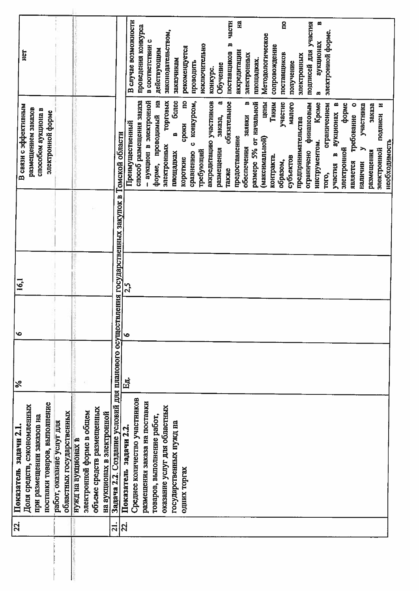| Задача 2.2. Создание условий для планового осуществления государственных закупок в Томской области<br>$\bullet$<br>Eд.<br>Среднее количество участников<br>размещения заказа на поставки<br>поставки товаров, выполнение<br>Доля средств, сэкономленных<br>объеме средств размещенных<br>электронной форме в общем<br>областных государственных<br>на аукционах в электронной<br>товаров, выполнение работ,<br>при размещении заказов на<br>работ, оказание услуг для<br>Показатель задачи 2.2.<br>нужд на аукционах в |       | В связи с эффективным<br>размещением заказов<br>способом аукциона в<br>электронной форме | E                           |
|------------------------------------------------------------------------------------------------------------------------------------------------------------------------------------------------------------------------------------------------------------------------------------------------------------------------------------------------------------------------------------------------------------------------------------------------------------------------------------------------------------------------|-------|------------------------------------------------------------------------------------------|-----------------------------|
|                                                                                                                                                                                                                                                                                                                                                                                                                                                                                                                        |       |                                                                                          |                             |
|                                                                                                                                                                                                                                                                                                                                                                                                                                                                                                                        |       |                                                                                          |                             |
|                                                                                                                                                                                                                                                                                                                                                                                                                                                                                                                        |       |                                                                                          |                             |
|                                                                                                                                                                                                                                                                                                                                                                                                                                                                                                                        |       |                                                                                          |                             |
|                                                                                                                                                                                                                                                                                                                                                                                                                                                                                                                        |       |                                                                                          |                             |
|                                                                                                                                                                                                                                                                                                                                                                                                                                                                                                                        |       |                                                                                          |                             |
|                                                                                                                                                                                                                                                                                                                                                                                                                                                                                                                        |       |                                                                                          |                             |
|                                                                                                                                                                                                                                                                                                                                                                                                                                                                                                                        |       |                                                                                          |                             |
|                                                                                                                                                                                                                                                                                                                                                                                                                                                                                                                        |       |                                                                                          |                             |
|                                                                                                                                                                                                                                                                                                                                                                                                                                                                                                                        |       |                                                                                          |                             |
|                                                                                                                                                                                                                                                                                                                                                                                                                                                                                                                        | 25    |                                                                                          |                             |
|                                                                                                                                                                                                                                                                                                                                                                                                                                                                                                                        |       | Преимущественный                                                                         | В случае возможности        |
|                                                                                                                                                                                                                                                                                                                                                                                                                                                                                                                        |       | способ размещения заказа<br>Аонностивате в номимуе -                                     | проведения конкурса         |
|                                                                                                                                                                                                                                                                                                                                                                                                                                                                                                                        |       |                                                                                          | в соответствии с            |
|                                                                                                                                                                                                                                                                                                                                                                                                                                                                                                                        |       | форме, проводимый на                                                                     | действующим                 |
| оказание услуг для областных                                                                                                                                                                                                                                                                                                                                                                                                                                                                                           |       | торговых<br>электронных                                                                  | законодательством,          |
| государственных нужд на                                                                                                                                                                                                                                                                                                                                                                                                                                                                                                |       | более<br>ø<br>площадках                                                                  | заказчикам                  |
| одних торгах                                                                                                                                                                                                                                                                                                                                                                                                                                                                                                           |       | g<br>сроки<br><b>KOPOTKHe</b>                                                            | рекомендуется               |
|                                                                                                                                                                                                                                                                                                                                                                                                                                                                                                                        |       | конкурсом,<br>Ò<br>сравнению                                                             | проводить                   |
|                                                                                                                                                                                                                                                                                                                                                                                                                                                                                                                        |       | требующий                                                                                | ИСКЛЮЧИТЕЛЬНО               |
|                                                                                                                                                                                                                                                                                                                                                                                                                                                                                                                        |       | аккредитацию участников                                                                  | конкурс.                    |
|                                                                                                                                                                                                                                                                                                                                                                                                                                                                                                                        |       | α,<br>заказа,<br>размещения                                                              | Обучение                    |
|                                                                                                                                                                                                                                                                                                                                                                                                                                                                                                                        | таюке | обязательное                                                                             | части<br>m<br>поставщиков   |
|                                                                                                                                                                                                                                                                                                                                                                                                                                                                                                                        |       | предоставление                                                                           | 옆<br>аккредитации           |
|                                                                                                                                                                                                                                                                                                                                                                                                                                                                                                                        |       | ≃<br>заявки<br>обеспечения                                                               | электронных                 |
|                                                                                                                                                                                                                                                                                                                                                                                                                                                                                                                        |       | размере 5% от начальной                                                                  | площадках.                  |
|                                                                                                                                                                                                                                                                                                                                                                                                                                                                                                                        |       | цены<br>(максимальной)                                                                   | Методологическое            |
|                                                                                                                                                                                                                                                                                                                                                                                                                                                                                                                        |       | Таким<br>контракта                                                                       | сопровождение               |
|                                                                                                                                                                                                                                                                                                                                                                                                                                                                                                                        |       | участие<br>образом,                                                                      | $\mathbf{r}$<br>поставщиков |
|                                                                                                                                                                                                                                                                                                                                                                                                                                                                                                                        |       | Martoro<br>субъектов                                                                     | получение                   |
|                                                                                                                                                                                                                                                                                                                                                                                                                                                                                                                        |       | предпринимательства                                                                      | электронных                 |
|                                                                                                                                                                                                                                                                                                                                                                                                                                                                                                                        |       | финансовым<br>ограничено                                                                 | подписей для участия        |
|                                                                                                                                                                                                                                                                                                                                                                                                                                                                                                                        |       | Кроме<br>инструментом.                                                                   | m<br>аукционах<br>ø         |
|                                                                                                                                                                                                                                                                                                                                                                                                                                                                                                                        | TOTO, | ограничением                                                                             | электронной форме.          |
|                                                                                                                                                                                                                                                                                                                                                                                                                                                                                                                        |       | œ<br>аукционах<br>m<br>участия                                                           |                             |
|                                                                                                                                                                                                                                                                                                                                                                                                                                                                                                                        |       | форме<br>электронной                                                                     |                             |
|                                                                                                                                                                                                                                                                                                                                                                                                                                                                                                                        |       | требование о<br>является                                                                 |                             |
|                                                                                                                                                                                                                                                                                                                                                                                                                                                                                                                        |       | участника<br>наличии                                                                     |                             |
|                                                                                                                                                                                                                                                                                                                                                                                                                                                                                                                        |       | заказа<br>размещения                                                                     |                             |
|                                                                                                                                                                                                                                                                                                                                                                                                                                                                                                                        |       | ×<br>подписи<br>электронной                                                              |                             |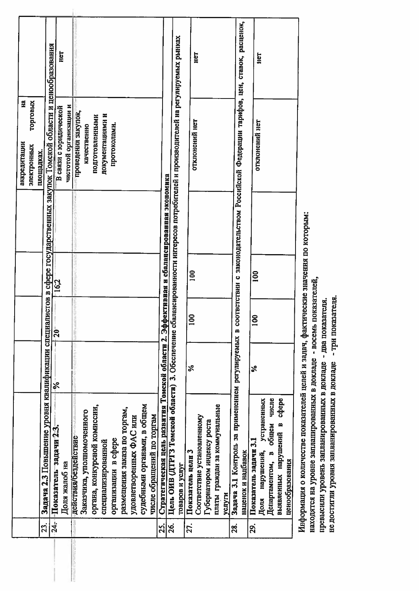|                |                                                                                                                                   |    |            |                |                                        | E<br>аккредитации                                                                     |     |
|----------------|-----------------------------------------------------------------------------------------------------------------------------------|----|------------|----------------|----------------------------------------|---------------------------------------------------------------------------------------|-----|
|                |                                                                                                                                   |    |            |                |                                        | торговых<br>электронных                                                               |     |
| ี่ 23          |                                                                                                                                   |    |            |                |                                        | площадках.                                                                            |     |
| $\frac{4}{24}$ | Задача 2.3 Повышение уровня квалификации специалистов в сфере государственных закупок Томской области и ценообразования           |    |            |                |                                        |                                                                                       |     |
|                | -Показатель-задачи 2:3.                                                                                                           | ⋟  | $-0.5$     | 16,2           |                                        | В связи с юридической                                                                 | Hеl |
|                | Доля жалоб на                                                                                                                     |    |            |                |                                        | чистотой организации и                                                                |     |
|                | действия/бездействие                                                                                                              |    |            |                |                                        | проведения закупок,                                                                   |     |
|                | Заказчика, уполномоченного                                                                                                        |    |            |                |                                        | качественно                                                                           |     |
|                | органа, конкурсной комиссии,                                                                                                      |    |            |                |                                        | подготовленными                                                                       |     |
|                | специализированной                                                                                                                |    |            |                |                                        | документациями и                                                                      |     |
|                | организации в сфере                                                                                                               |    |            |                |                                        | протоколами.                                                                          |     |
|                | размещения заказа по торгам,                                                                                                      |    |            |                |                                        |                                                                                       |     |
|                | удовлетворенных ФАС или                                                                                                           |    |            |                |                                        |                                                                                       |     |
|                | судебными органами, в общем                                                                                                       |    |            |                |                                        |                                                                                       |     |
|                | числе обращений по торгам                                                                                                         |    |            |                |                                        |                                                                                       |     |
| <u>ู่ที่</u>   | Стратегическая цель развития Томской области 2. Эф                                                                                |    |            |                | фективная и сбалансированная экономика |                                                                                       |     |
| 26.            | Цель ОИВ (ДТРГЗ Томской области) 3. Обеспечение сбалансированности интересов потребителей и производителей на регулируемых рынках |    |            |                |                                        |                                                                                       |     |
|                | товаров и услуг                                                                                                                   |    |            |                |                                        |                                                                                       |     |
| 27.            | Показатель цели 3                                                                                                                 | వ్ | <b>SO1</b> | $\mathbf{100}$ |                                        | отклонений нет                                                                        |     |
|                | Соответствие установленному                                                                                                       |    |            |                |                                        |                                                                                       | HeT |
|                | Губернатором индексу роста                                                                                                        |    |            |                |                                        |                                                                                       |     |
|                | платы граждан за коммунальные                                                                                                     |    |            |                |                                        |                                                                                       |     |
|                | услуги                                                                                                                            |    |            |                |                                        |                                                                                       |     |
| 28.            | Задача 3.1 Контроль за применением регулируемых в                                                                                 |    |            |                |                                        |                                                                                       |     |
|                | наценок и надбавок                                                                                                                |    |            |                |                                        | соответствии с законодательством Российской Федерации тарифов, цен, ставок, расценок, |     |
| 29.            | Показатель задачи 3.1                                                                                                             | ℅  | 8          | $\overline{5}$ |                                        | отклонений нет                                                                        |     |
|                | устраненных<br>Доля нарушений,                                                                                                    |    |            |                |                                        |                                                                                       | Het |
|                | Департаментом, в общем числе                                                                                                      |    |            |                |                                        |                                                                                       |     |
|                | copepe<br>выявленных нарушений в                                                                                                  |    |            |                |                                        |                                                                                       |     |
|                | ценообразования                                                                                                                   |    |            |                |                                        |                                                                                       |     |

Информация о количестве показателей целей и задач, фактические значения по которым:

находятся на уровне запланированных в докладе - восемь показателей,

превысили уровень запланированных в докладе - два показателя.

не достигли уровня запланированных в докладе - три показателя.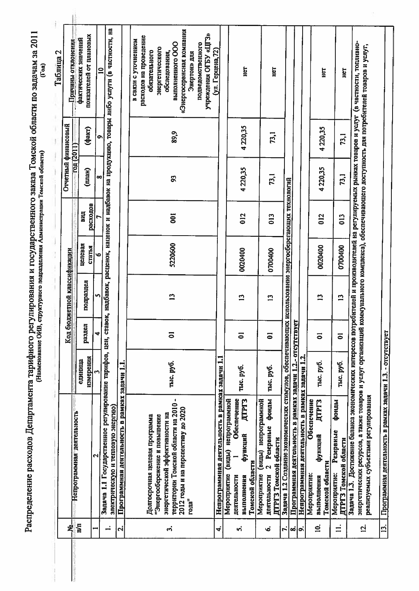|                   |                                                                                                                                                                                                                                                                                                                                                  |                      |                         |                             |                   |                 |           |                     | Таблица 2                                                                                                                                                                                                                               |
|-------------------|--------------------------------------------------------------------------------------------------------------------------------------------------------------------------------------------------------------------------------------------------------------------------------------------------------------------------------------------------|----------------------|-------------------------|-----------------------------|-------------------|-----------------|-----------|---------------------|-----------------------------------------------------------------------------------------------------------------------------------------------------------------------------------------------------------------------------------------|
| ዿ፟                |                                                                                                                                                                                                                                                                                                                                                  |                      |                         | Код бюджетной классификации |                   |                 | TOR(2011) | Отчетный финансовый | Причины отклонения                                                                                                                                                                                                                      |
| 'nд               | Непрограммная деятельность                                                                                                                                                                                                                                                                                                                       | измерения<br>единица | раздел                  | подраздел                   | целевая<br>статья | расходов<br>ПИД | (man)     | $($ факт $)$        | показателей от плановых<br>фактических значений                                                                                                                                                                                         |
|                   | $\mathbf{\Omega}$                                                                                                                                                                                                                                                                                                                                |                      | $\overline{\textbf{r}}$ | S                           | $\bullet$         |                 | œ         | ຶ                   |                                                                                                                                                                                                                                         |
| ∸                 | Задача 1.1 Государственное регулирование тарифов, цен, ставок, надбавок, наценок и надбавок на продукцию, товары либо услуги (в частности, на                                                                                                                                                                                                    |                      |                         |                             |                   |                 |           |                     | $\mathbf{a}$                                                                                                                                                                                                                            |
|                   | электрическую и тепловую энергию)                                                                                                                                                                                                                                                                                                                |                      |                         |                             |                   |                 |           |                     |                                                                                                                                                                                                                                         |
| $\mathbf{r}$      | Программная деятельность в рамках задачи 1.1.                                                                                                                                                                                                                                                                                                    |                      |                         |                             |                   |                 |           |                     |                                                                                                                                                                                                                                         |
| က္ပံ              | территории Томской области на 2010 -<br>2012 годы и на перспективу до 2020<br>энергетической эффективности на<br>Долгосрочная целевая программа<br>"Энергосбережение и повышение<br>года"                                                                                                                                                        | тыс. руб.            | $\overline{\bullet}$    | $\mathbf{r}$                | 5220600           | $\overline{5}$  | S.        | 89,9                | «Энергосервисная компания<br>учреждения ОГБУ «ЦГЗ»<br>расходов на проведение<br>в связи с уточнением<br>подведомственного<br>выполненного ООО<br>энергетического<br>(ул. Герцена, 72)<br>обязательного<br>обследования,<br>Энертон» для |
| 4,                | Непрограммная деятельность в рамках задачи 1.1                                                                                                                                                                                                                                                                                                   |                      |                         |                             |                   |                 |           |                     |                                                                                                                                                                                                                                         |
| ທ່                | Обеспечение<br>(виды) непрограммной<br>ДТРГЗ<br>функций<br>Томской области<br>Мероприятие<br>деятельности<br>выполнения                                                                                                                                                                                                                          | тыс. руб.            | $\overline{5}$          | $\mathbf{L}$                | 0020400           | 012             | 4220,35   | 4220,35             | E                                                                                                                                                                                                                                       |
| ؙؠ                | фонды<br>Мероприятие (виды) непрограммной<br>2 Резервные<br>ДТРГЗ Томской области<br>деятельности                                                                                                                                                                                                                                                | тыс. руб.            | $\overline{5}$          | $\mathbf{r}$                | 0700400           | 013             | 73,1      | 73,1                | Ìан                                                                                                                                                                                                                                     |
| ŀ,                | Задача 1.2 Создание экономических стимулов, обеспечивающих использование энергосберегающих технологий                                                                                                                                                                                                                                            |                      |                         |                             |                   |                 |           |                     |                                                                                                                                                                                                                                         |
| တံ                | Программная деятельность в рамках задачи 1.2.- отсутствует                                                                                                                                                                                                                                                                                       |                      |                         |                             |                   |                 |           |                     |                                                                                                                                                                                                                                         |
| a'                | Непрограммная деятельность в рамках задачи 1.2.                                                                                                                                                                                                                                                                                                  |                      |                         |                             |                   |                 |           |                     |                                                                                                                                                                                                                                         |
| ā,                | Обеспечение<br>ДТРГЗ<br>функций<br>Томской области<br>Мероприятие:<br>выполнения                                                                                                                                                                                                                                                                 | тыс. руб.            | $\overline{5}$          | $\mathbf{r}$                | 0020400           | 012             | 4220,35   | 4220,35             | ĒЦ                                                                                                                                                                                                                                      |
| $\equiv$          | фонды<br>Резервные<br>ДТРГЗ Томской области<br>Мероприятие:                                                                                                                                                                                                                                                                                      | тыс. руб.            | $\overline{\bullet}$    | $\mathbf{r}$                | 0700400           | $\frac{3}{2}$   | 73,1      | 73,1                | E                                                                                                                                                                                                                                       |
| ਕ਼                | Задача 1.3. Достижение баланса экономических интересов потребителей и производителей на регурсмых рынках товаров и услуг (в частности, топливно-<br>энергетических ресурсов, а также товаров и услуг организаций коммунального комплекса), обеспечивающего доступность для потребителей товаров и услуг,<br>реализуемых субъектами регулирования |                      |                         |                             |                   |                 |           |                     |                                                                                                                                                                                                                                         |
| $\overline{13}$ . | Программная деятельность в рамках задачи 1.3. - отсутствует                                                                                                                                                                                                                                                                                      |                      |                         |                             |                   |                 |           |                     |                                                                                                                                                                                                                                         |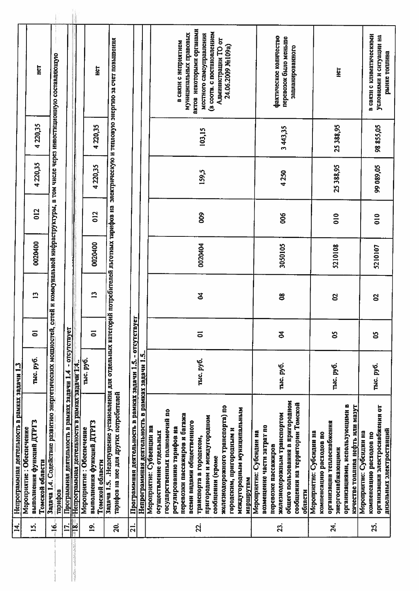| актов некоторыми органами<br>(в соотв. с постановлением<br>муниципальных правовых<br>местного самоуправления<br>в связи с климатическими<br>условиями и ситуации на<br>фактическое количество<br>перевозок было меньше<br>Задача 1.5. .Недопущение установления для отдельных категорий потребителей льготных тарифов на электрическую и тепловую энергию за счет повышения<br>Администрации ТО от<br>в связи с неприятием<br>24.06.2009 No109a)<br>эапланированного<br>рынке топлива<br>ей и коммунальной инфраструктуры, в том числе через инвестиционную составляющую<br>Het<br>161<br>Her<br>4220,35<br>4 220,35<br>25 388,95<br>98 855,05<br>3443,35<br>103,15<br>4220,35<br>4220,35<br>25 388,95<br>99 089,05<br>159,5<br>4250<br>012<br>012<br>800<br>006<br>$\frac{0}{2}$<br>$\frac{1}{2}$<br>0020400<br>0020400<br>0020404<br>3050105<br>5210108<br>5210107<br>$\mathbf{r}$<br>$\mathbf{r}$<br>F<br>8<br>g<br>2<br>Задача 1.4. Содействие развитно энергетических мощностей, сет<br>Программная деятельность в рамках задачи 1.5. - отсутствует<br>- orcyrcrayer<br>ō<br>$\overline{5}$<br>$\overline{\bullet}$<br><b>Z</b><br>S<br>క<br>Непрограммная деятельность в рамках задачи 1.5.<br>тыс. руб.<br>тыс. руб.<br>тыс. руб.<br>-Непрограммная деятельность в рамках задачи 1.4<br>тыс. руб.<br>тыс. руб.<br>тыс. руб.<br>Программная деятельность в рамках задачи 1.4<br>гарифов на нее для других потребителей<br>общего пользования в пригородном<br>сообщении на территории Томской<br>организациями, использующими в<br>качестве топлива нефть или мазут<br>железнодорожного транспорта) по<br>организации электроснабжения от<br>междугородным муниципальным<br>государственных полномочий по<br>железнодорожным транспортом<br>перевозки пассажиров и багажа<br>пригородном и междугородном<br>выполнения функций ДТРГЗ<br>выполнения функций ДТРГЗ<br>всеми видами общественного<br>организации теплосиабження<br>возмещение части затрат по<br>Мероприятие: Субвенции на<br>Мероприятие: Обеспечение<br>Мероприятие: Обеспечение<br>регулированию тарифов на<br>городским, пригородным и<br>дизельных электростанций<br>осуществление отдельных<br>Мероприятие: Субсндни на<br>Мероприятие: Субсидии на<br>Мероприятие: Субсидин на<br>компенсацию расходов по<br>компенсацию расходов по<br>транспорта в городском,<br>перевозке пассажиров<br>энергоснабжающими<br>сообщении (кроме<br>Томской области<br>Томской области<br>маршрутам<br>области<br>тарифов<br>$= 8$<br>$\overline{16}$<br>23.<br>24.<br>$\overline{5}$<br>$\overline{a}$<br>$\overline{20}$<br>22.<br>E.<br>$\overline{a}$<br><u>ន្ស</u><br>计计算 | $\vec{a}$ | Непрограммная деятельность в рамках задачи 1.3 |  |  |  |  |
|------------------------------------------------------------------------------------------------------------------------------------------------------------------------------------------------------------------------------------------------------------------------------------------------------------------------------------------------------------------------------------------------------------------------------------------------------------------------------------------------------------------------------------------------------------------------------------------------------------------------------------------------------------------------------------------------------------------------------------------------------------------------------------------------------------------------------------------------------------------------------------------------------------------------------------------------------------------------------------------------------------------------------------------------------------------------------------------------------------------------------------------------------------------------------------------------------------------------------------------------------------------------------------------------------------------------------------------------------------------------------------------------------------------------------------------------------------------------------------------------------------------------------------------------------------------------------------------------------------------------------------------------------------------------------------------------------------------------------------------------------------------------------------------------------------------------------------------------------------------------------------------------------------------------------------------------------------------------------------------------------------------------------------------------------------------------------------------------------------------------------------------------------------------------------------------------------------------------------------------------------------------------------------------------------------------------------------------------------------------------------------------------------------------------------------------------------------------------------------------------------------------------------------------------------------------------------------------------------------------------------------------|-----------|------------------------------------------------|--|--|--|--|
|                                                                                                                                                                                                                                                                                                                                                                                                                                                                                                                                                                                                                                                                                                                                                                                                                                                                                                                                                                                                                                                                                                                                                                                                                                                                                                                                                                                                                                                                                                                                                                                                                                                                                                                                                                                                                                                                                                                                                                                                                                                                                                                                                                                                                                                                                                                                                                                                                                                                                                                                                                                                                                          |           |                                                |  |  |  |  |
|                                                                                                                                                                                                                                                                                                                                                                                                                                                                                                                                                                                                                                                                                                                                                                                                                                                                                                                                                                                                                                                                                                                                                                                                                                                                                                                                                                                                                                                                                                                                                                                                                                                                                                                                                                                                                                                                                                                                                                                                                                                                                                                                                                                                                                                                                                                                                                                                                                                                                                                                                                                                                                          |           |                                                |  |  |  |  |
|                                                                                                                                                                                                                                                                                                                                                                                                                                                                                                                                                                                                                                                                                                                                                                                                                                                                                                                                                                                                                                                                                                                                                                                                                                                                                                                                                                                                                                                                                                                                                                                                                                                                                                                                                                                                                                                                                                                                                                                                                                                                                                                                                                                                                                                                                                                                                                                                                                                                                                                                                                                                                                          |           |                                                |  |  |  |  |
|                                                                                                                                                                                                                                                                                                                                                                                                                                                                                                                                                                                                                                                                                                                                                                                                                                                                                                                                                                                                                                                                                                                                                                                                                                                                                                                                                                                                                                                                                                                                                                                                                                                                                                                                                                                                                                                                                                                                                                                                                                                                                                                                                                                                                                                                                                                                                                                                                                                                                                                                                                                                                                          |           |                                                |  |  |  |  |
|                                                                                                                                                                                                                                                                                                                                                                                                                                                                                                                                                                                                                                                                                                                                                                                                                                                                                                                                                                                                                                                                                                                                                                                                                                                                                                                                                                                                                                                                                                                                                                                                                                                                                                                                                                                                                                                                                                                                                                                                                                                                                                                                                                                                                                                                                                                                                                                                                                                                                                                                                                                                                                          |           |                                                |  |  |  |  |
|                                                                                                                                                                                                                                                                                                                                                                                                                                                                                                                                                                                                                                                                                                                                                                                                                                                                                                                                                                                                                                                                                                                                                                                                                                                                                                                                                                                                                                                                                                                                                                                                                                                                                                                                                                                                                                                                                                                                                                                                                                                                                                                                                                                                                                                                                                                                                                                                                                                                                                                                                                                                                                          |           |                                                |  |  |  |  |
|                                                                                                                                                                                                                                                                                                                                                                                                                                                                                                                                                                                                                                                                                                                                                                                                                                                                                                                                                                                                                                                                                                                                                                                                                                                                                                                                                                                                                                                                                                                                                                                                                                                                                                                                                                                                                                                                                                                                                                                                                                                                                                                                                                                                                                                                                                                                                                                                                                                                                                                                                                                                                                          |           |                                                |  |  |  |  |
|                                                                                                                                                                                                                                                                                                                                                                                                                                                                                                                                                                                                                                                                                                                                                                                                                                                                                                                                                                                                                                                                                                                                                                                                                                                                                                                                                                                                                                                                                                                                                                                                                                                                                                                                                                                                                                                                                                                                                                                                                                                                                                                                                                                                                                                                                                                                                                                                                                                                                                                                                                                                                                          |           |                                                |  |  |  |  |
|                                                                                                                                                                                                                                                                                                                                                                                                                                                                                                                                                                                                                                                                                                                                                                                                                                                                                                                                                                                                                                                                                                                                                                                                                                                                                                                                                                                                                                                                                                                                                                                                                                                                                                                                                                                                                                                                                                                                                                                                                                                                                                                                                                                                                                                                                                                                                                                                                                                                                                                                                                                                                                          |           |                                                |  |  |  |  |
|                                                                                                                                                                                                                                                                                                                                                                                                                                                                                                                                                                                                                                                                                                                                                                                                                                                                                                                                                                                                                                                                                                                                                                                                                                                                                                                                                                                                                                                                                                                                                                                                                                                                                                                                                                                                                                                                                                                                                                                                                                                                                                                                                                                                                                                                                                                                                                                                                                                                                                                                                                                                                                          |           |                                                |  |  |  |  |
|                                                                                                                                                                                                                                                                                                                                                                                                                                                                                                                                                                                                                                                                                                                                                                                                                                                                                                                                                                                                                                                                                                                                                                                                                                                                                                                                                                                                                                                                                                                                                                                                                                                                                                                                                                                                                                                                                                                                                                                                                                                                                                                                                                                                                                                                                                                                                                                                                                                                                                                                                                                                                                          |           |                                                |  |  |  |  |
|                                                                                                                                                                                                                                                                                                                                                                                                                                                                                                                                                                                                                                                                                                                                                                                                                                                                                                                                                                                                                                                                                                                                                                                                                                                                                                                                                                                                                                                                                                                                                                                                                                                                                                                                                                                                                                                                                                                                                                                                                                                                                                                                                                                                                                                                                                                                                                                                                                                                                                                                                                                                                                          |           |                                                |  |  |  |  |
|                                                                                                                                                                                                                                                                                                                                                                                                                                                                                                                                                                                                                                                                                                                                                                                                                                                                                                                                                                                                                                                                                                                                                                                                                                                                                                                                                                                                                                                                                                                                                                                                                                                                                                                                                                                                                                                                                                                                                                                                                                                                                                                                                                                                                                                                                                                                                                                                                                                                                                                                                                                                                                          |           |                                                |  |  |  |  |
|                                                                                                                                                                                                                                                                                                                                                                                                                                                                                                                                                                                                                                                                                                                                                                                                                                                                                                                                                                                                                                                                                                                                                                                                                                                                                                                                                                                                                                                                                                                                                                                                                                                                                                                                                                                                                                                                                                                                                                                                                                                                                                                                                                                                                                                                                                                                                                                                                                                                                                                                                                                                                                          |           |                                                |  |  |  |  |
|                                                                                                                                                                                                                                                                                                                                                                                                                                                                                                                                                                                                                                                                                                                                                                                                                                                                                                                                                                                                                                                                                                                                                                                                                                                                                                                                                                                                                                                                                                                                                                                                                                                                                                                                                                                                                                                                                                                                                                                                                                                                                                                                                                                                                                                                                                                                                                                                                                                                                                                                                                                                                                          |           |                                                |  |  |  |  |
|                                                                                                                                                                                                                                                                                                                                                                                                                                                                                                                                                                                                                                                                                                                                                                                                                                                                                                                                                                                                                                                                                                                                                                                                                                                                                                                                                                                                                                                                                                                                                                                                                                                                                                                                                                                                                                                                                                                                                                                                                                                                                                                                                                                                                                                                                                                                                                                                                                                                                                                                                                                                                                          |           |                                                |  |  |  |  |
|                                                                                                                                                                                                                                                                                                                                                                                                                                                                                                                                                                                                                                                                                                                                                                                                                                                                                                                                                                                                                                                                                                                                                                                                                                                                                                                                                                                                                                                                                                                                                                                                                                                                                                                                                                                                                                                                                                                                                                                                                                                                                                                                                                                                                                                                                                                                                                                                                                                                                                                                                                                                                                          |           |                                                |  |  |  |  |
|                                                                                                                                                                                                                                                                                                                                                                                                                                                                                                                                                                                                                                                                                                                                                                                                                                                                                                                                                                                                                                                                                                                                                                                                                                                                                                                                                                                                                                                                                                                                                                                                                                                                                                                                                                                                                                                                                                                                                                                                                                                                                                                                                                                                                                                                                                                                                                                                                                                                                                                                                                                                                                          |           |                                                |  |  |  |  |
|                                                                                                                                                                                                                                                                                                                                                                                                                                                                                                                                                                                                                                                                                                                                                                                                                                                                                                                                                                                                                                                                                                                                                                                                                                                                                                                                                                                                                                                                                                                                                                                                                                                                                                                                                                                                                                                                                                                                                                                                                                                                                                                                                                                                                                                                                                                                                                                                                                                                                                                                                                                                                                          |           |                                                |  |  |  |  |
|                                                                                                                                                                                                                                                                                                                                                                                                                                                                                                                                                                                                                                                                                                                                                                                                                                                                                                                                                                                                                                                                                                                                                                                                                                                                                                                                                                                                                                                                                                                                                                                                                                                                                                                                                                                                                                                                                                                                                                                                                                                                                                                                                                                                                                                                                                                                                                                                                                                                                                                                                                                                                                          |           |                                                |  |  |  |  |
|                                                                                                                                                                                                                                                                                                                                                                                                                                                                                                                                                                                                                                                                                                                                                                                                                                                                                                                                                                                                                                                                                                                                                                                                                                                                                                                                                                                                                                                                                                                                                                                                                                                                                                                                                                                                                                                                                                                                                                                                                                                                                                                                                                                                                                                                                                                                                                                                                                                                                                                                                                                                                                          |           |                                                |  |  |  |  |
|                                                                                                                                                                                                                                                                                                                                                                                                                                                                                                                                                                                                                                                                                                                                                                                                                                                                                                                                                                                                                                                                                                                                                                                                                                                                                                                                                                                                                                                                                                                                                                                                                                                                                                                                                                                                                                                                                                                                                                                                                                                                                                                                                                                                                                                                                                                                                                                                                                                                                                                                                                                                                                          |           |                                                |  |  |  |  |
|                                                                                                                                                                                                                                                                                                                                                                                                                                                                                                                                                                                                                                                                                                                                                                                                                                                                                                                                                                                                                                                                                                                                                                                                                                                                                                                                                                                                                                                                                                                                                                                                                                                                                                                                                                                                                                                                                                                                                                                                                                                                                                                                                                                                                                                                                                                                                                                                                                                                                                                                                                                                                                          |           |                                                |  |  |  |  |
|                                                                                                                                                                                                                                                                                                                                                                                                                                                                                                                                                                                                                                                                                                                                                                                                                                                                                                                                                                                                                                                                                                                                                                                                                                                                                                                                                                                                                                                                                                                                                                                                                                                                                                                                                                                                                                                                                                                                                                                                                                                                                                                                                                                                                                                                                                                                                                                                                                                                                                                                                                                                                                          |           |                                                |  |  |  |  |
|                                                                                                                                                                                                                                                                                                                                                                                                                                                                                                                                                                                                                                                                                                                                                                                                                                                                                                                                                                                                                                                                                                                                                                                                                                                                                                                                                                                                                                                                                                                                                                                                                                                                                                                                                                                                                                                                                                                                                                                                                                                                                                                                                                                                                                                                                                                                                                                                                                                                                                                                                                                                                                          |           |                                                |  |  |  |  |
|                                                                                                                                                                                                                                                                                                                                                                                                                                                                                                                                                                                                                                                                                                                                                                                                                                                                                                                                                                                                                                                                                                                                                                                                                                                                                                                                                                                                                                                                                                                                                                                                                                                                                                                                                                                                                                                                                                                                                                                                                                                                                                                                                                                                                                                                                                                                                                                                                                                                                                                                                                                                                                          |           |                                                |  |  |  |  |
|                                                                                                                                                                                                                                                                                                                                                                                                                                                                                                                                                                                                                                                                                                                                                                                                                                                                                                                                                                                                                                                                                                                                                                                                                                                                                                                                                                                                                                                                                                                                                                                                                                                                                                                                                                                                                                                                                                                                                                                                                                                                                                                                                                                                                                                                                                                                                                                                                                                                                                                                                                                                                                          |           |                                                |  |  |  |  |
|                                                                                                                                                                                                                                                                                                                                                                                                                                                                                                                                                                                                                                                                                                                                                                                                                                                                                                                                                                                                                                                                                                                                                                                                                                                                                                                                                                                                                                                                                                                                                                                                                                                                                                                                                                                                                                                                                                                                                                                                                                                                                                                                                                                                                                                                                                                                                                                                                                                                                                                                                                                                                                          |           |                                                |  |  |  |  |
|                                                                                                                                                                                                                                                                                                                                                                                                                                                                                                                                                                                                                                                                                                                                                                                                                                                                                                                                                                                                                                                                                                                                                                                                                                                                                                                                                                                                                                                                                                                                                                                                                                                                                                                                                                                                                                                                                                                                                                                                                                                                                                                                                                                                                                                                                                                                                                                                                                                                                                                                                                                                                                          |           |                                                |  |  |  |  |
|                                                                                                                                                                                                                                                                                                                                                                                                                                                                                                                                                                                                                                                                                                                                                                                                                                                                                                                                                                                                                                                                                                                                                                                                                                                                                                                                                                                                                                                                                                                                                                                                                                                                                                                                                                                                                                                                                                                                                                                                                                                                                                                                                                                                                                                                                                                                                                                                                                                                                                                                                                                                                                          |           |                                                |  |  |  |  |
|                                                                                                                                                                                                                                                                                                                                                                                                                                                                                                                                                                                                                                                                                                                                                                                                                                                                                                                                                                                                                                                                                                                                                                                                                                                                                                                                                                                                                                                                                                                                                                                                                                                                                                                                                                                                                                                                                                                                                                                                                                                                                                                                                                                                                                                                                                                                                                                                                                                                                                                                                                                                                                          |           |                                                |  |  |  |  |
|                                                                                                                                                                                                                                                                                                                                                                                                                                                                                                                                                                                                                                                                                                                                                                                                                                                                                                                                                                                                                                                                                                                                                                                                                                                                                                                                                                                                                                                                                                                                                                                                                                                                                                                                                                                                                                                                                                                                                                                                                                                                                                                                                                                                                                                                                                                                                                                                                                                                                                                                                                                                                                          |           |                                                |  |  |  |  |
|                                                                                                                                                                                                                                                                                                                                                                                                                                                                                                                                                                                                                                                                                                                                                                                                                                                                                                                                                                                                                                                                                                                                                                                                                                                                                                                                                                                                                                                                                                                                                                                                                                                                                                                                                                                                                                                                                                                                                                                                                                                                                                                                                                                                                                                                                                                                                                                                                                                                                                                                                                                                                                          |           |                                                |  |  |  |  |
|                                                                                                                                                                                                                                                                                                                                                                                                                                                                                                                                                                                                                                                                                                                                                                                                                                                                                                                                                                                                                                                                                                                                                                                                                                                                                                                                                                                                                                                                                                                                                                                                                                                                                                                                                                                                                                                                                                                                                                                                                                                                                                                                                                                                                                                                                                                                                                                                                                                                                                                                                                                                                                          |           |                                                |  |  |  |  |
|                                                                                                                                                                                                                                                                                                                                                                                                                                                                                                                                                                                                                                                                                                                                                                                                                                                                                                                                                                                                                                                                                                                                                                                                                                                                                                                                                                                                                                                                                                                                                                                                                                                                                                                                                                                                                                                                                                                                                                                                                                                                                                                                                                                                                                                                                                                                                                                                                                                                                                                                                                                                                                          |           |                                                |  |  |  |  |
|                                                                                                                                                                                                                                                                                                                                                                                                                                                                                                                                                                                                                                                                                                                                                                                                                                                                                                                                                                                                                                                                                                                                                                                                                                                                                                                                                                                                                                                                                                                                                                                                                                                                                                                                                                                                                                                                                                                                                                                                                                                                                                                                                                                                                                                                                                                                                                                                                                                                                                                                                                                                                                          |           |                                                |  |  |  |  |
|                                                                                                                                                                                                                                                                                                                                                                                                                                                                                                                                                                                                                                                                                                                                                                                                                                                                                                                                                                                                                                                                                                                                                                                                                                                                                                                                                                                                                                                                                                                                                                                                                                                                                                                                                                                                                                                                                                                                                                                                                                                                                                                                                                                                                                                                                                                                                                                                                                                                                                                                                                                                                                          |           |                                                |  |  |  |  |
|                                                                                                                                                                                                                                                                                                                                                                                                                                                                                                                                                                                                                                                                                                                                                                                                                                                                                                                                                                                                                                                                                                                                                                                                                                                                                                                                                                                                                                                                                                                                                                                                                                                                                                                                                                                                                                                                                                                                                                                                                                                                                                                                                                                                                                                                                                                                                                                                                                                                                                                                                                                                                                          |           |                                                |  |  |  |  |
|                                                                                                                                                                                                                                                                                                                                                                                                                                                                                                                                                                                                                                                                                                                                                                                                                                                                                                                                                                                                                                                                                                                                                                                                                                                                                                                                                                                                                                                                                                                                                                                                                                                                                                                                                                                                                                                                                                                                                                                                                                                                                                                                                                                                                                                                                                                                                                                                                                                                                                                                                                                                                                          |           |                                                |  |  |  |  |
|                                                                                                                                                                                                                                                                                                                                                                                                                                                                                                                                                                                                                                                                                                                                                                                                                                                                                                                                                                                                                                                                                                                                                                                                                                                                                                                                                                                                                                                                                                                                                                                                                                                                                                                                                                                                                                                                                                                                                                                                                                                                                                                                                                                                                                                                                                                                                                                                                                                                                                                                                                                                                                          |           |                                                |  |  |  |  |
|                                                                                                                                                                                                                                                                                                                                                                                                                                                                                                                                                                                                                                                                                                                                                                                                                                                                                                                                                                                                                                                                                                                                                                                                                                                                                                                                                                                                                                                                                                                                                                                                                                                                                                                                                                                                                                                                                                                                                                                                                                                                                                                                                                                                                                                                                                                                                                                                                                                                                                                                                                                                                                          |           |                                                |  |  |  |  |
|                                                                                                                                                                                                                                                                                                                                                                                                                                                                                                                                                                                                                                                                                                                                                                                                                                                                                                                                                                                                                                                                                                                                                                                                                                                                                                                                                                                                                                                                                                                                                                                                                                                                                                                                                                                                                                                                                                                                                                                                                                                                                                                                                                                                                                                                                                                                                                                                                                                                                                                                                                                                                                          |           |                                                |  |  |  |  |
|                                                                                                                                                                                                                                                                                                                                                                                                                                                                                                                                                                                                                                                                                                                                                                                                                                                                                                                                                                                                                                                                                                                                                                                                                                                                                                                                                                                                                                                                                                                                                                                                                                                                                                                                                                                                                                                                                                                                                                                                                                                                                                                                                                                                                                                                                                                                                                                                                                                                                                                                                                                                                                          |           |                                                |  |  |  |  |
|                                                                                                                                                                                                                                                                                                                                                                                                                                                                                                                                                                                                                                                                                                                                                                                                                                                                                                                                                                                                                                                                                                                                                                                                                                                                                                                                                                                                                                                                                                                                                                                                                                                                                                                                                                                                                                                                                                                                                                                                                                                                                                                                                                                                                                                                                                                                                                                                                                                                                                                                                                                                                                          |           |                                                |  |  |  |  |
|                                                                                                                                                                                                                                                                                                                                                                                                                                                                                                                                                                                                                                                                                                                                                                                                                                                                                                                                                                                                                                                                                                                                                                                                                                                                                                                                                                                                                                                                                                                                                                                                                                                                                                                                                                                                                                                                                                                                                                                                                                                                                                                                                                                                                                                                                                                                                                                                                                                                                                                                                                                                                                          |           |                                                |  |  |  |  |
|                                                                                                                                                                                                                                                                                                                                                                                                                                                                                                                                                                                                                                                                                                                                                                                                                                                                                                                                                                                                                                                                                                                                                                                                                                                                                                                                                                                                                                                                                                                                                                                                                                                                                                                                                                                                                                                                                                                                                                                                                                                                                                                                                                                                                                                                                                                                                                                                                                                                                                                                                                                                                                          |           |                                                |  |  |  |  |
|                                                                                                                                                                                                                                                                                                                                                                                                                                                                                                                                                                                                                                                                                                                                                                                                                                                                                                                                                                                                                                                                                                                                                                                                                                                                                                                                                                                                                                                                                                                                                                                                                                                                                                                                                                                                                                                                                                                                                                                                                                                                                                                                                                                                                                                                                                                                                                                                                                                                                                                                                                                                                                          |           |                                                |  |  |  |  |
|                                                                                                                                                                                                                                                                                                                                                                                                                                                                                                                                                                                                                                                                                                                                                                                                                                                                                                                                                                                                                                                                                                                                                                                                                                                                                                                                                                                                                                                                                                                                                                                                                                                                                                                                                                                                                                                                                                                                                                                                                                                                                                                                                                                                                                                                                                                                                                                                                                                                                                                                                                                                                                          |           |                                                |  |  |  |  |
|                                                                                                                                                                                                                                                                                                                                                                                                                                                                                                                                                                                                                                                                                                                                                                                                                                                                                                                                                                                                                                                                                                                                                                                                                                                                                                                                                                                                                                                                                                                                                                                                                                                                                                                                                                                                                                                                                                                                                                                                                                                                                                                                                                                                                                                                                                                                                                                                                                                                                                                                                                                                                                          |           |                                                |  |  |  |  |
|                                                                                                                                                                                                                                                                                                                                                                                                                                                                                                                                                                                                                                                                                                                                                                                                                                                                                                                                                                                                                                                                                                                                                                                                                                                                                                                                                                                                                                                                                                                                                                                                                                                                                                                                                                                                                                                                                                                                                                                                                                                                                                                                                                                                                                                                                                                                                                                                                                                                                                                                                                                                                                          |           |                                                |  |  |  |  |
|                                                                                                                                                                                                                                                                                                                                                                                                                                                                                                                                                                                                                                                                                                                                                                                                                                                                                                                                                                                                                                                                                                                                                                                                                                                                                                                                                                                                                                                                                                                                                                                                                                                                                                                                                                                                                                                                                                                                                                                                                                                                                                                                                                                                                                                                                                                                                                                                                                                                                                                                                                                                                                          |           |                                                |  |  |  |  |
|                                                                                                                                                                                                                                                                                                                                                                                                                                                                                                                                                                                                                                                                                                                                                                                                                                                                                                                                                                                                                                                                                                                                                                                                                                                                                                                                                                                                                                                                                                                                                                                                                                                                                                                                                                                                                                                                                                                                                                                                                                                                                                                                                                                                                                                                                                                                                                                                                                                                                                                                                                                                                                          |           |                                                |  |  |  |  |
|                                                                                                                                                                                                                                                                                                                                                                                                                                                                                                                                                                                                                                                                                                                                                                                                                                                                                                                                                                                                                                                                                                                                                                                                                                                                                                                                                                                                                                                                                                                                                                                                                                                                                                                                                                                                                                                                                                                                                                                                                                                                                                                                                                                                                                                                                                                                                                                                                                                                                                                                                                                                                                          |           |                                                |  |  |  |  |
|                                                                                                                                                                                                                                                                                                                                                                                                                                                                                                                                                                                                                                                                                                                                                                                                                                                                                                                                                                                                                                                                                                                                                                                                                                                                                                                                                                                                                                                                                                                                                                                                                                                                                                                                                                                                                                                                                                                                                                                                                                                                                                                                                                                                                                                                                                                                                                                                                                                                                                                                                                                                                                          |           |                                                |  |  |  |  |
|                                                                                                                                                                                                                                                                                                                                                                                                                                                                                                                                                                                                                                                                                                                                                                                                                                                                                                                                                                                                                                                                                                                                                                                                                                                                                                                                                                                                                                                                                                                                                                                                                                                                                                                                                                                                                                                                                                                                                                                                                                                                                                                                                                                                                                                                                                                                                                                                                                                                                                                                                                                                                                          |           |                                                |  |  |  |  |
|                                                                                                                                                                                                                                                                                                                                                                                                                                                                                                                                                                                                                                                                                                                                                                                                                                                                                                                                                                                                                                                                                                                                                                                                                                                                                                                                                                                                                                                                                                                                                                                                                                                                                                                                                                                                                                                                                                                                                                                                                                                                                                                                                                                                                                                                                                                                                                                                                                                                                                                                                                                                                                          |           |                                                |  |  |  |  |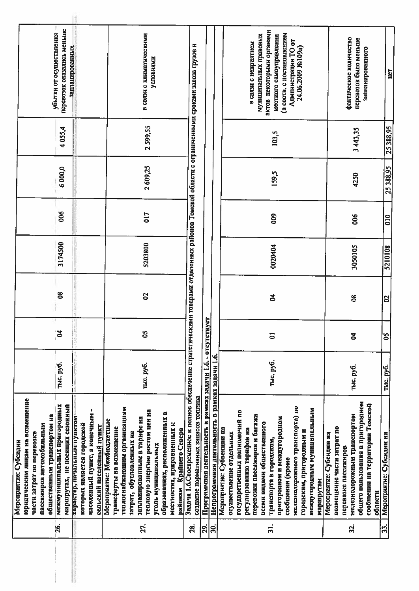|                   | Мероприятие: Субсидии                                                                                                                                                                                                                                                                               |           |            |          |         |                  |          |          |                                                                                                    |
|-------------------|-----------------------------------------------------------------------------------------------------------------------------------------------------------------------------------------------------------------------------------------------------------------------------------------------------|-----------|------------|----------|---------|------------------|----------|----------|----------------------------------------------------------------------------------------------------|
| 26.               | юридическим лицам на возмещение<br>общественным транспортом на<br>пассажиров автомобильным<br>части затрат по перевозке                                                                                                                                                                             |           |            |          |         |                  |          |          | убытки от осуществления                                                                            |
|                   | межмуниципальных пригородных<br>маршрутах, не носящих сезонный                                                                                                                                                                                                                                      | тыс. руб. | ತ          | g        | 3174500 | 006              | 6000,0   | 4055,4   | перевозок оказались меньше<br>запланированных                                                      |
|                   | ٠<br>населенный пункт, а конечным<br>характер, начальным пунктом-<br>которых является городской<br>сельский населенный пункт                                                                                                                                                                        |           |            |          |         |                  |          |          |                                                                                                    |
| 27.               | теплоснабжающим организациям<br>тепловую энергию ростом цен на<br>образованнях, расположенных в<br>запланированным в тарифе на<br>Мероприятие: Межбюджетные<br>местностях, приравненных к<br>трансферты на возмещение<br>районам Крайнего Севера<br>затрат, обусловленных не<br>уголь муннципальных | тыс. руб. | S          | S,       | 5203800 | 017              | 2609,25  | 2599,55  | в связи с климатическими<br>условиями                                                              |
| 28.               | Задача 1.6.Своевременное и полное обеспечение стратегическими говарами отдаленных районов Томской области с ограниченными сроками завоза грузов и<br>создание нормативных запасов топлива                                                                                                           |           |            |          |         |                  |          |          |                                                                                                    |
| $\overline{29}$ . | Программная деятельность в рамках задачи 1.6. - отсутству                                                                                                                                                                                                                                           |           | <u>iak</u> |          |         |                  |          |          |                                                                                                    |
| $\overline{30}$   | Непрограммная деятельность в рамках задачи 1.6.                                                                                                                                                                                                                                                     |           |            |          |         |                  |          |          |                                                                                                    |
| $\frac{1}{2}$     | государственных полномочий по<br>перевозки пассажиров и багажа<br>всеми видами общественного<br>Мероприятие: Субвенции на<br>ви вофидат ониваодип/Сзод<br>осуществление отдельных<br>транспорта в городском,                                                                                        | тыс. руб. | 5          | Z        |         |                  |          |          | актов некоторыми органами<br>муниципальных правовых<br>в связи с неприятием                        |
|                   | железнодорожного транспорта) по<br>междугородным муннципальным<br>пригородном и междугородном<br>городским, пригородным и<br>сообщении (кроме<br>маршрутам                                                                                                                                          |           |            |          | 0020404 | 800              | 159,5    | 103,5    | (в соотв. с постановлением<br>местного самоуправления<br>Администрации ТО от<br>24.06.2009 Ne109a) |
| <u>ಜ</u>          | общего пользовання в пригородном<br>сообщенин на территории Томской<br>железнодорожным транспортом<br>возмещение части затрат по<br>Мероприятие: Субсидии на<br>перевозке пассажиров<br>области                                                                                                     | тыс. руб. | <b>Z</b>   | 80       | 3050105 | 006              | 4250     | 3 443,35 | фактическое количество<br>перевозок было меньше<br>запланированного                                |
| 33.               | Мероприятие: Субсидин на                                                                                                                                                                                                                                                                            | тыс. руб. | <b>SO</b>  | <b>S</b> | 5210108 | $\overline{010}$ | 25388,95 | 25388.95 | HCT                                                                                                |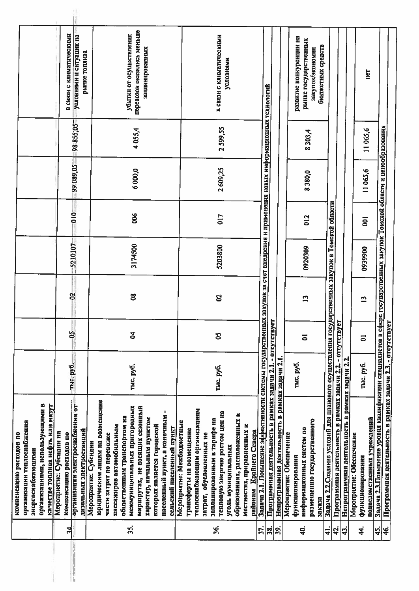| перевозок оказались меньше<br>в связи с климатическими<br>убытки от осуществления<br>условиями и ситуации на<br>в связи с климатическими<br>развитие конкуренции на<br>рынке государственных<br>бюджетных средств<br>запланированных<br>закупок/экономия<br>рынке топлива<br>условиями<br>E<br><u>Задача 2.1. Повышение эффективности системы государственных закупок за счет внедрения и применения новых информационных технологий</u><br>-98855,05<br>Задача 2.3.Повышение уровня квалификации специалистов в сфере государственных закупок Томской области и ценообразования<br>2599,55<br>4055,4<br>11065,6<br>8303,4<br>99 089,05<br>2609,25<br>6000,0<br>11065,6<br>8380,0<br>Задача 2.2.Создание условий для планового осуществления государственных закупок в Томской области<br>$-010$<br>800<br>017<br>012<br>$\overline{5}$<br>5210107<br>3174500<br>5203800<br>0920309<br>0939900<br>g<br>$8^{\circ}$<br><b>S</b><br>$\mathbf{1}$<br>$\overline{1}$<br>Программная деятельность в рамках задачи 2.1. - отсутствует<br>Программная деятельность в рамках задачи 2.3. - отсутствует<br>Программная деятельность в рамках задачи 2.2. - отсутствует<br>දි<br><b>Z</b><br>S<br>$\overline{5}$<br>$\overline{5}$<br>Непрограммная деятельность в рамках задачи 2.2.<br>Непрограммная деятельность в рамках задачи 2.1<br>тыс. руб.-<br>тыс. руб.<br>тыс. руб.<br>тыс. руб.<br>тыс. руб.<br>организации электроснабжения от<br>юридическим лицам на возмещение<br>организациями, использующими в<br>качестве топлива нефть или мазут<br>межмуниципальных пригородных<br>маршрутах, не носящих сезонный<br>теплоснабжающим организациям<br>٠<br>тепловую энергию ростом цен на<br>образованиях, расположенных в<br>населенный пункт, а конечным<br>общественным транспортом на<br>подведомственных учреждений<br>характер, начальным пунктом<br>запланированным в тарифе на<br>размещению государственного<br>Мероприятие: Межбюджетные<br>организации теплоснабжения<br>местностях, приравненных к<br>которых является городской<br>пассажнров автомобильным<br>сельский населенный пункт<br>информационных систем по<br>дизельных электростанций<br>трансферты на возмещение<br>районам Крайнего Севера<br>Мероприятие: Субендни на<br>компенсацию расходов по<br>затрат, обусловленных не<br>Мероприятие: Обеспечение<br>компенсацию расходов по<br>Мероприятие: Обеспечение<br>части затрат по перевозке<br>Мероприятие: Субсидии<br>уголь муниципальных<br>энергоснабжающим<br>функционирования<br>функционирования<br>38K838 |               |  |  |  |  |  |
|------------------------------------------------------------------------------------------------------------------------------------------------------------------------------------------------------------------------------------------------------------------------------------------------------------------------------------------------------------------------------------------------------------------------------------------------------------------------------------------------------------------------------------------------------------------------------------------------------------------------------------------------------------------------------------------------------------------------------------------------------------------------------------------------------------------------------------------------------------------------------------------------------------------------------------------------------------------------------------------------------------------------------------------------------------------------------------------------------------------------------------------------------------------------------------------------------------------------------------------------------------------------------------------------------------------------------------------------------------------------------------------------------------------------------------------------------------------------------------------------------------------------------------------------------------------------------------------------------------------------------------------------------------------------------------------------------------------------------------------------------------------------------------------------------------------------------------------------------------------------------------------------------------------------------------------------------------------------------------------------------------------------------------------------------------------------------------------------------------------------------------------------------------------------------------------------------------------------------------------------------------------------------------------------------------------------------------------------------------------------------------------------------------------------------------------------------------------------------------------------------------------------------------------|---------------|--|--|--|--|--|
|                                                                                                                                                                                                                                                                                                                                                                                                                                                                                                                                                                                                                                                                                                                                                                                                                                                                                                                                                                                                                                                                                                                                                                                                                                                                                                                                                                                                                                                                                                                                                                                                                                                                                                                                                                                                                                                                                                                                                                                                                                                                                                                                                                                                                                                                                                                                                                                                                                                                                                                                          |               |  |  |  |  |  |
|                                                                                                                                                                                                                                                                                                                                                                                                                                                                                                                                                                                                                                                                                                                                                                                                                                                                                                                                                                                                                                                                                                                                                                                                                                                                                                                                                                                                                                                                                                                                                                                                                                                                                                                                                                                                                                                                                                                                                                                                                                                                                                                                                                                                                                                                                                                                                                                                                                                                                                                                          |               |  |  |  |  |  |
|                                                                                                                                                                                                                                                                                                                                                                                                                                                                                                                                                                                                                                                                                                                                                                                                                                                                                                                                                                                                                                                                                                                                                                                                                                                                                                                                                                                                                                                                                                                                                                                                                                                                                                                                                                                                                                                                                                                                                                                                                                                                                                                                                                                                                                                                                                                                                                                                                                                                                                                                          |               |  |  |  |  |  |
|                                                                                                                                                                                                                                                                                                                                                                                                                                                                                                                                                                                                                                                                                                                                                                                                                                                                                                                                                                                                                                                                                                                                                                                                                                                                                                                                                                                                                                                                                                                                                                                                                                                                                                                                                                                                                                                                                                                                                                                                                                                                                                                                                                                                                                                                                                                                                                                                                                                                                                                                          |               |  |  |  |  |  |
| श्लं                                                                                                                                                                                                                                                                                                                                                                                                                                                                                                                                                                                                                                                                                                                                                                                                                                                                                                                                                                                                                                                                                                                                                                                                                                                                                                                                                                                                                                                                                                                                                                                                                                                                                                                                                                                                                                                                                                                                                                                                                                                                                                                                                                                                                                                                                                                                                                                                                                                                                                                                     |               |  |  |  |  |  |
|                                                                                                                                                                                                                                                                                                                                                                                                                                                                                                                                                                                                                                                                                                                                                                                                                                                                                                                                                                                                                                                                                                                                                                                                                                                                                                                                                                                                                                                                                                                                                                                                                                                                                                                                                                                                                                                                                                                                                                                                                                                                                                                                                                                                                                                                                                                                                                                                                                                                                                                                          |               |  |  |  |  |  |
|                                                                                                                                                                                                                                                                                                                                                                                                                                                                                                                                                                                                                                                                                                                                                                                                                                                                                                                                                                                                                                                                                                                                                                                                                                                                                                                                                                                                                                                                                                                                                                                                                                                                                                                                                                                                                                                                                                                                                                                                                                                                                                                                                                                                                                                                                                                                                                                                                                                                                                                                          |               |  |  |  |  |  |
|                                                                                                                                                                                                                                                                                                                                                                                                                                                                                                                                                                                                                                                                                                                                                                                                                                                                                                                                                                                                                                                                                                                                                                                                                                                                                                                                                                                                                                                                                                                                                                                                                                                                                                                                                                                                                                                                                                                                                                                                                                                                                                                                                                                                                                                                                                                                                                                                                                                                                                                                          |               |  |  |  |  |  |
|                                                                                                                                                                                                                                                                                                                                                                                                                                                                                                                                                                                                                                                                                                                                                                                                                                                                                                                                                                                                                                                                                                                                                                                                                                                                                                                                                                                                                                                                                                                                                                                                                                                                                                                                                                                                                                                                                                                                                                                                                                                                                                                                                                                                                                                                                                                                                                                                                                                                                                                                          |               |  |  |  |  |  |
|                                                                                                                                                                                                                                                                                                                                                                                                                                                                                                                                                                                                                                                                                                                                                                                                                                                                                                                                                                                                                                                                                                                                                                                                                                                                                                                                                                                                                                                                                                                                                                                                                                                                                                                                                                                                                                                                                                                                                                                                                                                                                                                                                                                                                                                                                                                                                                                                                                                                                                                                          |               |  |  |  |  |  |
|                                                                                                                                                                                                                                                                                                                                                                                                                                                                                                                                                                                                                                                                                                                                                                                                                                                                                                                                                                                                                                                                                                                                                                                                                                                                                                                                                                                                                                                                                                                                                                                                                                                                                                                                                                                                                                                                                                                                                                                                                                                                                                                                                                                                                                                                                                                                                                                                                                                                                                                                          |               |  |  |  |  |  |
|                                                                                                                                                                                                                                                                                                                                                                                                                                                                                                                                                                                                                                                                                                                                                                                                                                                                                                                                                                                                                                                                                                                                                                                                                                                                                                                                                                                                                                                                                                                                                                                                                                                                                                                                                                                                                                                                                                                                                                                                                                                                                                                                                                                                                                                                                                                                                                                                                                                                                                                                          |               |  |  |  |  |  |
| <u>ა:</u>                                                                                                                                                                                                                                                                                                                                                                                                                                                                                                                                                                                                                                                                                                                                                                                                                                                                                                                                                                                                                                                                                                                                                                                                                                                                                                                                                                                                                                                                                                                                                                                                                                                                                                                                                                                                                                                                                                                                                                                                                                                                                                                                                                                                                                                                                                                                                                                                                                                                                                                                |               |  |  |  |  |  |
|                                                                                                                                                                                                                                                                                                                                                                                                                                                                                                                                                                                                                                                                                                                                                                                                                                                                                                                                                                                                                                                                                                                                                                                                                                                                                                                                                                                                                                                                                                                                                                                                                                                                                                                                                                                                                                                                                                                                                                                                                                                                                                                                                                                                                                                                                                                                                                                                                                                                                                                                          |               |  |  |  |  |  |
|                                                                                                                                                                                                                                                                                                                                                                                                                                                                                                                                                                                                                                                                                                                                                                                                                                                                                                                                                                                                                                                                                                                                                                                                                                                                                                                                                                                                                                                                                                                                                                                                                                                                                                                                                                                                                                                                                                                                                                                                                                                                                                                                                                                                                                                                                                                                                                                                                                                                                                                                          |               |  |  |  |  |  |
|                                                                                                                                                                                                                                                                                                                                                                                                                                                                                                                                                                                                                                                                                                                                                                                                                                                                                                                                                                                                                                                                                                                                                                                                                                                                                                                                                                                                                                                                                                                                                                                                                                                                                                                                                                                                                                                                                                                                                                                                                                                                                                                                                                                                                                                                                                                                                                                                                                                                                                                                          |               |  |  |  |  |  |
|                                                                                                                                                                                                                                                                                                                                                                                                                                                                                                                                                                                                                                                                                                                                                                                                                                                                                                                                                                                                                                                                                                                                                                                                                                                                                                                                                                                                                                                                                                                                                                                                                                                                                                                                                                                                                                                                                                                                                                                                                                                                                                                                                                                                                                                                                                                                                                                                                                                                                                                                          |               |  |  |  |  |  |
|                                                                                                                                                                                                                                                                                                                                                                                                                                                                                                                                                                                                                                                                                                                                                                                                                                                                                                                                                                                                                                                                                                                                                                                                                                                                                                                                                                                                                                                                                                                                                                                                                                                                                                                                                                                                                                                                                                                                                                                                                                                                                                                                                                                                                                                                                                                                                                                                                                                                                                                                          |               |  |  |  |  |  |
|                                                                                                                                                                                                                                                                                                                                                                                                                                                                                                                                                                                                                                                                                                                                                                                                                                                                                                                                                                                                                                                                                                                                                                                                                                                                                                                                                                                                                                                                                                                                                                                                                                                                                                                                                                                                                                                                                                                                                                                                                                                                                                                                                                                                                                                                                                                                                                                                                                                                                                                                          |               |  |  |  |  |  |
|                                                                                                                                                                                                                                                                                                                                                                                                                                                                                                                                                                                                                                                                                                                                                                                                                                                                                                                                                                                                                                                                                                                                                                                                                                                                                                                                                                                                                                                                                                                                                                                                                                                                                                                                                                                                                                                                                                                                                                                                                                                                                                                                                                                                                                                                                                                                                                                                                                                                                                                                          |               |  |  |  |  |  |
|                                                                                                                                                                                                                                                                                                                                                                                                                                                                                                                                                                                                                                                                                                                                                                                                                                                                                                                                                                                                                                                                                                                                                                                                                                                                                                                                                                                                                                                                                                                                                                                                                                                                                                                                                                                                                                                                                                                                                                                                                                                                                                                                                                                                                                                                                                                                                                                                                                                                                                                                          |               |  |  |  |  |  |
|                                                                                                                                                                                                                                                                                                                                                                                                                                                                                                                                                                                                                                                                                                                                                                                                                                                                                                                                                                                                                                                                                                                                                                                                                                                                                                                                                                                                                                                                                                                                                                                                                                                                                                                                                                                                                                                                                                                                                                                                                                                                                                                                                                                                                                                                                                                                                                                                                                                                                                                                          |               |  |  |  |  |  |
|                                                                                                                                                                                                                                                                                                                                                                                                                                                                                                                                                                                                                                                                                                                                                                                                                                                                                                                                                                                                                                                                                                                                                                                                                                                                                                                                                                                                                                                                                                                                                                                                                                                                                                                                                                                                                                                                                                                                                                                                                                                                                                                                                                                                                                                                                                                                                                                                                                                                                                                                          |               |  |  |  |  |  |
|                                                                                                                                                                                                                                                                                                                                                                                                                                                                                                                                                                                                                                                                                                                                                                                                                                                                                                                                                                                                                                                                                                                                                                                                                                                                                                                                                                                                                                                                                                                                                                                                                                                                                                                                                                                                                                                                                                                                                                                                                                                                                                                                                                                                                                                                                                                                                                                                                                                                                                                                          |               |  |  |  |  |  |
|                                                                                                                                                                                                                                                                                                                                                                                                                                                                                                                                                                                                                                                                                                                                                                                                                                                                                                                                                                                                                                                                                                                                                                                                                                                                                                                                                                                                                                                                                                                                                                                                                                                                                                                                                                                                                                                                                                                                                                                                                                                                                                                                                                                                                                                                                                                                                                                                                                                                                                                                          |               |  |  |  |  |  |
| 36.<br>4.<br>37.<br>$\ddot{a}$<br>42.<br>$\frac{45}{4}$<br><u>ីន</u><br>န္ကြ<br>$\vec{4}$<br>$\ddot{2}$                                                                                                                                                                                                                                                                                                                                                                                                                                                                                                                                                                                                                                                                                                                                                                                                                                                                                                                                                                                                                                                                                                                                                                                                                                                                                                                                                                                                                                                                                                                                                                                                                                                                                                                                                                                                                                                                                                                                                                                                                                                                                                                                                                                                                                                                                                                                                                                                                                  |               |  |  |  |  |  |
|                                                                                                                                                                                                                                                                                                                                                                                                                                                                                                                                                                                                                                                                                                                                                                                                                                                                                                                                                                                                                                                                                                                                                                                                                                                                                                                                                                                                                                                                                                                                                                                                                                                                                                                                                                                                                                                                                                                                                                                                                                                                                                                                                                                                                                                                                                                                                                                                                                                                                                                                          |               |  |  |  |  |  |
|                                                                                                                                                                                                                                                                                                                                                                                                                                                                                                                                                                                                                                                                                                                                                                                                                                                                                                                                                                                                                                                                                                                                                                                                                                                                                                                                                                                                                                                                                                                                                                                                                                                                                                                                                                                                                                                                                                                                                                                                                                                                                                                                                                                                                                                                                                                                                                                                                                                                                                                                          |               |  |  |  |  |  |
|                                                                                                                                                                                                                                                                                                                                                                                                                                                                                                                                                                                                                                                                                                                                                                                                                                                                                                                                                                                                                                                                                                                                                                                                                                                                                                                                                                                                                                                                                                                                                                                                                                                                                                                                                                                                                                                                                                                                                                                                                                                                                                                                                                                                                                                                                                                                                                                                                                                                                                                                          |               |  |  |  |  |  |
|                                                                                                                                                                                                                                                                                                                                                                                                                                                                                                                                                                                                                                                                                                                                                                                                                                                                                                                                                                                                                                                                                                                                                                                                                                                                                                                                                                                                                                                                                                                                                                                                                                                                                                                                                                                                                                                                                                                                                                                                                                                                                                                                                                                                                                                                                                                                                                                                                                                                                                                                          |               |  |  |  |  |  |
|                                                                                                                                                                                                                                                                                                                                                                                                                                                                                                                                                                                                                                                                                                                                                                                                                                                                                                                                                                                                                                                                                                                                                                                                                                                                                                                                                                                                                                                                                                                                                                                                                                                                                                                                                                                                                                                                                                                                                                                                                                                                                                                                                                                                                                                                                                                                                                                                                                                                                                                                          |               |  |  |  |  |  |
|                                                                                                                                                                                                                                                                                                                                                                                                                                                                                                                                                                                                                                                                                                                                                                                                                                                                                                                                                                                                                                                                                                                                                                                                                                                                                                                                                                                                                                                                                                                                                                                                                                                                                                                                                                                                                                                                                                                                                                                                                                                                                                                                                                                                                                                                                                                                                                                                                                                                                                                                          |               |  |  |  |  |  |
|                                                                                                                                                                                                                                                                                                                                                                                                                                                                                                                                                                                                                                                                                                                                                                                                                                                                                                                                                                                                                                                                                                                                                                                                                                                                                                                                                                                                                                                                                                                                                                                                                                                                                                                                                                                                                                                                                                                                                                                                                                                                                                                                                                                                                                                                                                                                                                                                                                                                                                                                          |               |  |  |  |  |  |
|                                                                                                                                                                                                                                                                                                                                                                                                                                                                                                                                                                                                                                                                                                                                                                                                                                                                                                                                                                                                                                                                                                                                                                                                                                                                                                                                                                                                                                                                                                                                                                                                                                                                                                                                                                                                                                                                                                                                                                                                                                                                                                                                                                                                                                                                                                                                                                                                                                                                                                                                          |               |  |  |  |  |  |
|                                                                                                                                                                                                                                                                                                                                                                                                                                                                                                                                                                                                                                                                                                                                                                                                                                                                                                                                                                                                                                                                                                                                                                                                                                                                                                                                                                                                                                                                                                                                                                                                                                                                                                                                                                                                                                                                                                                                                                                                                                                                                                                                                                                                                                                                                                                                                                                                                                                                                                                                          |               |  |  |  |  |  |
|                                                                                                                                                                                                                                                                                                                                                                                                                                                                                                                                                                                                                                                                                                                                                                                                                                                                                                                                                                                                                                                                                                                                                                                                                                                                                                                                                                                                                                                                                                                                                                                                                                                                                                                                                                                                                                                                                                                                                                                                                                                                                                                                                                                                                                                                                                                                                                                                                                                                                                                                          |               |  |  |  |  |  |
|                                                                                                                                                                                                                                                                                                                                                                                                                                                                                                                                                                                                                                                                                                                                                                                                                                                                                                                                                                                                                                                                                                                                                                                                                                                                                                                                                                                                                                                                                                                                                                                                                                                                                                                                                                                                                                                                                                                                                                                                                                                                                                                                                                                                                                                                                                                                                                                                                                                                                                                                          |               |  |  |  |  |  |
|                                                                                                                                                                                                                                                                                                                                                                                                                                                                                                                                                                                                                                                                                                                                                                                                                                                                                                                                                                                                                                                                                                                                                                                                                                                                                                                                                                                                                                                                                                                                                                                                                                                                                                                                                                                                                                                                                                                                                                                                                                                                                                                                                                                                                                                                                                                                                                                                                                                                                                                                          |               |  |  |  |  |  |
|                                                                                                                                                                                                                                                                                                                                                                                                                                                                                                                                                                                                                                                                                                                                                                                                                                                                                                                                                                                                                                                                                                                                                                                                                                                                                                                                                                                                                                                                                                                                                                                                                                                                                                                                                                                                                                                                                                                                                                                                                                                                                                                                                                                                                                                                                                                                                                                                                                                                                                                                          |               |  |  |  |  |  |
|                                                                                                                                                                                                                                                                                                                                                                                                                                                                                                                                                                                                                                                                                                                                                                                                                                                                                                                                                                                                                                                                                                                                                                                                                                                                                                                                                                                                                                                                                                                                                                                                                                                                                                                                                                                                                                                                                                                                                                                                                                                                                                                                                                                                                                                                                                                                                                                                                                                                                                                                          |               |  |  |  |  |  |
|                                                                                                                                                                                                                                                                                                                                                                                                                                                                                                                                                                                                                                                                                                                                                                                                                                                                                                                                                                                                                                                                                                                                                                                                                                                                                                                                                                                                                                                                                                                                                                                                                                                                                                                                                                                                                                                                                                                                                                                                                                                                                                                                                                                                                                                                                                                                                                                                                                                                                                                                          |               |  |  |  |  |  |
|                                                                                                                                                                                                                                                                                                                                                                                                                                                                                                                                                                                                                                                                                                                                                                                                                                                                                                                                                                                                                                                                                                                                                                                                                                                                                                                                                                                                                                                                                                                                                                                                                                                                                                                                                                                                                                                                                                                                                                                                                                                                                                                                                                                                                                                                                                                                                                                                                                                                                                                                          |               |  |  |  |  |  |
|                                                                                                                                                                                                                                                                                                                                                                                                                                                                                                                                                                                                                                                                                                                                                                                                                                                                                                                                                                                                                                                                                                                                                                                                                                                                                                                                                                                                                                                                                                                                                                                                                                                                                                                                                                                                                                                                                                                                                                                                                                                                                                                                                                                                                                                                                                                                                                                                                                                                                                                                          |               |  |  |  |  |  |
|                                                                                                                                                                                                                                                                                                                                                                                                                                                                                                                                                                                                                                                                                                                                                                                                                                                                                                                                                                                                                                                                                                                                                                                                                                                                                                                                                                                                                                                                                                                                                                                                                                                                                                                                                                                                                                                                                                                                                                                                                                                                                                                                                                                                                                                                                                                                                                                                                                                                                                                                          |               |  |  |  |  |  |
|                                                                                                                                                                                                                                                                                                                                                                                                                                                                                                                                                                                                                                                                                                                                                                                                                                                                                                                                                                                                                                                                                                                                                                                                                                                                                                                                                                                                                                                                                                                                                                                                                                                                                                                                                                                                                                                                                                                                                                                                                                                                                                                                                                                                                                                                                                                                                                                                                                                                                                                                          |               |  |  |  |  |  |
|                                                                                                                                                                                                                                                                                                                                                                                                                                                                                                                                                                                                                                                                                                                                                                                                                                                                                                                                                                                                                                                                                                                                                                                                                                                                                                                                                                                                                                                                                                                                                                                                                                                                                                                                                                                                                                                                                                                                                                                                                                                                                                                                                                                                                                                                                                                                                                                                                                                                                                                                          |               |  |  |  |  |  |
|                                                                                                                                                                                                                                                                                                                                                                                                                                                                                                                                                                                                                                                                                                                                                                                                                                                                                                                                                                                                                                                                                                                                                                                                                                                                                                                                                                                                                                                                                                                                                                                                                                                                                                                                                                                                                                                                                                                                                                                                                                                                                                                                                                                                                                                                                                                                                                                                                                                                                                                                          |               |  |  |  |  |  |
|                                                                                                                                                                                                                                                                                                                                                                                                                                                                                                                                                                                                                                                                                                                                                                                                                                                                                                                                                                                                                                                                                                                                                                                                                                                                                                                                                                                                                                                                                                                                                                                                                                                                                                                                                                                                                                                                                                                                                                                                                                                                                                                                                                                                                                                                                                                                                                                                                                                                                                                                          |               |  |  |  |  |  |
|                                                                                                                                                                                                                                                                                                                                                                                                                                                                                                                                                                                                                                                                                                                                                                                                                                                                                                                                                                                                                                                                                                                                                                                                                                                                                                                                                                                                                                                                                                                                                                                                                                                                                                                                                                                                                                                                                                                                                                                                                                                                                                                                                                                                                                                                                                                                                                                                                                                                                                                                          |               |  |  |  |  |  |
|                                                                                                                                                                                                                                                                                                                                                                                                                                                                                                                                                                                                                                                                                                                                                                                                                                                                                                                                                                                                                                                                                                                                                                                                                                                                                                                                                                                                                                                                                                                                                                                                                                                                                                                                                                                                                                                                                                                                                                                                                                                                                                                                                                                                                                                                                                                                                                                                                                                                                                                                          |               |  |  |  |  |  |
|                                                                                                                                                                                                                                                                                                                                                                                                                                                                                                                                                                                                                                                                                                                                                                                                                                                                                                                                                                                                                                                                                                                                                                                                                                                                                                                                                                                                                                                                                                                                                                                                                                                                                                                                                                                                                                                                                                                                                                                                                                                                                                                                                                                                                                                                                                                                                                                                                                                                                                                                          |               |  |  |  |  |  |
|                                                                                                                                                                                                                                                                                                                                                                                                                                                                                                                                                                                                                                                                                                                                                                                                                                                                                                                                                                                                                                                                                                                                                                                                                                                                                                                                                                                                                                                                                                                                                                                                                                                                                                                                                                                                                                                                                                                                                                                                                                                                                                                                                                                                                                                                                                                                                                                                                                                                                                                                          | $\frac{4}{6}$ |  |  |  |  |  |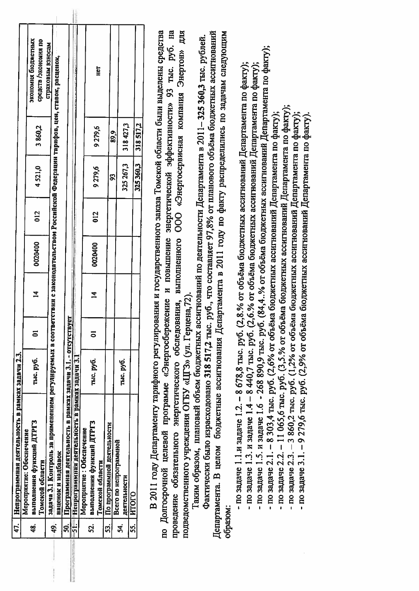| 47.       | Непрограммная деятельность в рамках задачи 2.3.                                                                                         |           |        |                |         |     |                          |            |                                            |  |
|-----------|-----------------------------------------------------------------------------------------------------------------------------------------|-----------|--------|----------------|---------|-----|--------------------------|------------|--------------------------------------------|--|
|           | Мероприятие: Обеспечение                                                                                                                |           |        |                |         |     |                          |            |                                            |  |
| 48.       | выполнения функций ДТРГЗ<br>Томской области                                                                                             | тыс. руб. |        | $\overline{4}$ | 0020400 | 012 | 4521,0                   | 3860,2     | экономия бюджетных<br>средств /экономия по |  |
|           |                                                                                                                                         |           |        |                |         |     |                          |            | страховым взносам                          |  |
| ą.        | задача 3.1 Контроль за применением регулируемых в соответствии с законодательством Российской Федерации тарифов, цен, ставок, расценок, |           |        |                |         |     |                          |            |                                            |  |
|           | наценок и надбавок                                                                                                                      |           |        |                |         |     |                          |            |                                            |  |
| ສິ        | Программная деятельность в рамках задачи 3.1. - отсутс                                                                                  |           | ствует |                |         |     |                          |            |                                            |  |
|           | Непрограммная деятельность в рамках задачи 3.1                                                                                          |           |        |                |         |     |                          |            |                                            |  |
|           | Мероприятие: Обеспечение                                                                                                                |           |        |                |         |     |                          |            |                                            |  |
| <u>ង្</u> | выполнения функций ДТРГЗ                                                                                                                | тыс. руб. |        | $\overline{4}$ | 0020400 | 012 |                          |            |                                            |  |
|           | Томской области                                                                                                                         |           |        |                |         |     | 9279,6                   | 9279,6     | Het                                        |  |
| ິກ        | По программной деятельности                                                                                                             |           |        |                |         |     |                          |            |                                            |  |
|           | Всего по непрограммной                                                                                                                  |           |        |                |         |     | S,                       | <u>စွဲ</u> |                                            |  |
| <u>थं</u> | деятельности                                                                                                                            | тыс. руб. |        |                |         |     | $325\,267,3$   318 427,3 |            |                                            |  |
| 55.       | <b>NTOLO</b>                                                                                                                            |           |        |                |         |     |                          |            |                                            |  |
|           |                                                                                                                                         |           |        |                |         |     | 325360.3                 | 318517.2   |                                            |  |
|           | В 2011 году Департаменту тарифного регулирования и государственного заказа Томской области были выделены средства                       |           |        |                |         |     |                          |            |                                            |  |

проведение обязательного энергетического обследования, выполненного ООО «Энергосервисная компания Энертон» для по Долгосрочной целевой программе «Энергосбережение и повышение энергетической эффективности» 93 тыс. руб. на подведомственного учреждения ОГБУ «ЦГЗ» (ул. Герцена, 72).

Фактически было израсходовано 318 517,2 тыс. руб., что составляет 97,8% от планового объёма бюджетных ассигнований Департамента. В целом бюджетные ассигнования Департамента в 2011 году по факту распределились по задачам следующим Таким образом, плановый объем бюджетных ассигнований по деятельности Департамента в 2011–325 360,3 тыс. рублей. образом:

- по задаче 1.1.и задаче 1.2. – 8 678,8 тыс. руб. (2,8.% от объёма бюджетных ассигнований Департамента по факту);

- по задаче 1.3. и задаче 1.4 – 8 440,7 тыс. руб. (2,6.% от объёма бюджетных ассигнований Департамента по факту);

- по задаче 1.5. и задаче 1.6 - 268 890,9 тыс. руб. (84,4..% от объёма бюджетных ассигнований Департамента по факту);

- по задаче 2.1. – 8 303,4 тыс. руб. (2,6% от объёма бюджетных ассигнований Департамента по факту);

- по задаче 2.2. – 11 065,6 тыс. руб. (3,5.% от объёма бюджетных ассигнований Депаргамента по факту);

- по задаче 2.3. – 3 860,2 тыс. руб. (1,2% от объёма бюджетных ассигнований Департамента по факту);

- по задаче 3.1. – 9 279,6 тыс. руб. (2,9% от объёма бюджетных ассигнований Департамента по факту).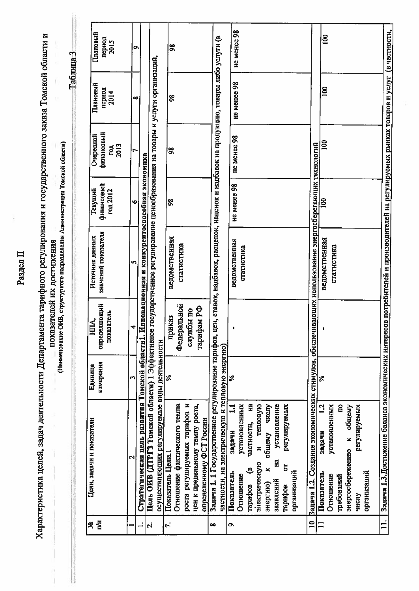Раздел II

Характеристика целей, задач деятельности Департамента тарифного регулирования и государственного заказа Томской области и

показателей их достижения

(Наименование ОИВ, структурного подразделения Администрации Томской области)

Таблица-3

3 адача 1.3. Достижение баланса экономических интересов потребителей и производителей на регулируемых рынках товаров и услуг (в частности, He MeHee 98 Плановый  $\overline{\mathsf{so}}$ период<br>2015 Задача 1. 1 Государственное регулирование тарифов, цен, ставок, надбавок, расценок, наценок и надбавок на продукцию, товары либо услуги (в  $\overline{\mathbf{g}}$ Цель ОИВ (ДТРГЗ Томской области) 1 Эффективное государственное регулирование ценообразования на товары и услуги организаций, He MeHee 98 Плановый период<br>2014  $\overline{100}$  $\frac{8}{2}$ финансовый He MeHee 98 Очередной  $\mathbf{8}$ ron<br>2013 10 Вадача 1.2. Создание экономических стнмулов, обеспечивающих использование энергосберегающих технологий æ Стратегическая цель развития Томской области1. Инновационная и конкурентоспособная экономика He MeHee 98 финансовый Текущий год 2012 8 98 значений показателя Источник данных ведомственная ведомственная ведомственная статистика статистика статистика определяющий Федеральной гарифам РФ службы по показатель приказ HITA. осуществляющих регулируемые виды деятельности частности, на электрическую и тепловую энергию) нзмерения Единнца  $\approx$ న్  $\aleph$  $\mathbf{I}$ и вофидительных тарифов и цен к предельному темпу роста, Ha 1.2 Отношение фактического темпа установленных и тепловую установленных общему числу установление энергосбережению к общему регулируемых регулируемых определенному ФСТ России частностн, Цели, задачи и показатели задачи задачи Показатель Цели.1 Ha электрическую  $\ddot{e}$ 5 организаций Показатель организаций Показатель Отношение Отношение требований тарифов заявлений энергию) тарифов числу  $\overline{11}$ .  $\equiv$ ዳ Ξ r. a  $\overline{\mathbf{v}}$ œ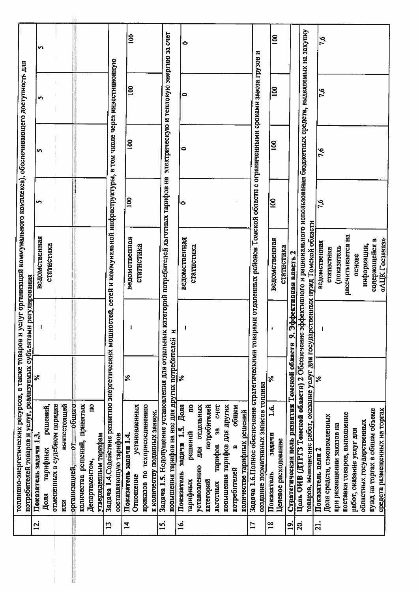|                | топливно-энергетических ресурсов, а также товаров и услуг организаций коммунального комплекса), обеспечивающего доступность для    |      |               |                                                                                     |                  |                |              |              |
|----------------|------------------------------------------------------------------------------------------------------------------------------------|------|---------------|-------------------------------------------------------------------------------------|------------------|----------------|--------------|--------------|
| <u>is</u>      | потребителей товаров и услуг, реализуемых субъектами регулирования                                                                 | ្ត្រ |               |                                                                                     |                  |                |              |              |
|                | Показатель задачи 1.3                                                                                                              |      |               | ведомственная                                                                       | S                | S              | S            | n            |
|                | решений,<br>тарифных<br>Доля                                                                                                       |      |               | статистика                                                                          |                  |                |              |              |
|                | отмененных в судебном порядке                                                                                                      |      |               |                                                                                     |                  |                |              |              |
|                | вышестоящей<br>ИЛИ                                                                                                                 |      |               |                                                                                     |                  |                |              |              |
|                | организацией, от общего-                                                                                                           |      |               |                                                                                     |                  |                |              |              |
|                | количества решений, принятых                                                                                                       |      |               |                                                                                     |                  |                |              |              |
|                | <u>ទ</u><br>Департаментом,                                                                                                         |      |               |                                                                                     |                  |                |              |              |
|                | утвержденным тарифам                                                                                                               |      |               |                                                                                     |                  |                |              |              |
| $\mathbf{r}$   | Задача 1.4. Содействие развитию энергетических мощн                                                                                |      |               | остей, сетей и коммунальной инфраструктуры, в том числе через инвестиционную        |                  |                |              |              |
|                | составляющую тарифов                                                                                                               |      |               |                                                                                     |                  |                |              |              |
| $\vec{a}$      | Показатель задачи 1.4.                                                                                                             | ℅    |               | ведомственная                                                                       | $\overline{100}$ | <u>100</u>     | $\mathbf{S}$ | $\mathbf{8}$ |
|                | установленных<br>Отношение                                                                                                         |      |               |                                                                                     |                  |                |              |              |
|                | приказов по техприсоединенио                                                                                                       |      |               | статистика                                                                          |                  |                |              |              |
|                | к количеству поданных заявок.                                                                                                      |      |               |                                                                                     |                  |                |              |              |
| ี่ยุ่          | Задача 1.5. Недопущение установления для отдельных и                                                                               |      |               | категорий потребителей льготных тарифов на электрическую и тепловую энергию за счет |                  |                |              |              |
|                | повышения тарифов на нее для других потребителей и                                                                                 |      |               |                                                                                     |                  |                |              |              |
| <u>َی</u>      | задачи 1.5. Доля<br>Показатель                                                                                                     | ℅    |               | ведомственная                                                                       | 0                | 0              | 0            | 0            |
|                | g<br>решений<br>тарифных                                                                                                           |      |               | статистика                                                                          |                  |                |              |              |
|                | для отдельных<br>установлению                                                                                                      |      |               |                                                                                     |                  |                |              |              |
|                | потребителей<br>категорий                                                                                                          |      |               |                                                                                     |                  |                |              |              |
|                | <b>CHET</b><br>38<br>тарифов<br>льготных                                                                                           |      |               |                                                                                     |                  |                |              |              |
|                | повышения тарифов для других                                                                                                       |      |               |                                                                                     |                  |                |              |              |
|                | общем<br>m<br>потребителей                                                                                                         |      |               |                                                                                     |                  |                |              |              |
|                | количестве тарифных решений                                                                                                        |      |               |                                                                                     |                  |                |              |              |
| $\mathbf{L}$   | Задача 1.6.Полное обеспечение стратегическими товарами отдаленных районов Томской областн с ограниченными сроками завоза грузов и  |      |               |                                                                                     |                  |                |              |              |
|                | создание нормативных запасов топлива                                                                                               |      |               |                                                                                     |                  |                |              |              |
| $\frac{8}{10}$ | غ<br>آ<br>задачи<br>Показатель                                                                                                     | ℅    | $\pmb{\cdot}$ | ведомственная                                                                       | $\frac{8}{2}$    | $\overline{8}$ | <b>801</b>   | $\mathbf{8}$ |
|                | Целевое расходование                                                                                                               |      |               | статистика                                                                          |                  |                |              |              |
| <u>ର୍</u>      | Стратегическая цель развития Томской области 9.3                                                                                   |      |               | ффективная власть 2                                                                 |                  |                |              |              |
| <u>ສ</u>       | Цель ОИВ (ДТРГЗ Томской области) 2 Обеспечение эффективного и рационального использования бюджетных средств, выделяемых на закупку |      |               |                                                                                     |                  |                |              |              |
|                | товаров, выполнение работ, оказание услуг для государственных нужд Томской области                                                 |      |               |                                                                                     |                  |                |              |              |
| $\overline{a}$ | Показатель цели 2                                                                                                                  |      |               | ведомственная                                                                       | $\overline{7,6}$ | 7,6            | 7,6          | 7,6          |
|                | Доля средств, сэкономленных                                                                                                        |      |               | статистнка                                                                          |                  |                |              |              |
|                | при размещении заказов на                                                                                                          |      |               | (показатель                                                                         |                  |                |              |              |
|                | поставки товаров, выполнение                                                                                                       |      |               | рассчитывается на                                                                   |                  |                |              |              |
|                | работ, оказание услуг для                                                                                                          |      |               | основе                                                                              |                  |                |              |              |
|                | областных государственных                                                                                                          |      |               | ниформации,                                                                         |                  |                |              |              |
|                | нужд на торгах в общем объеме                                                                                                      |      |               | содержащейся в                                                                      |                  |                |              |              |
|                | средств размещенных на торгах                                                                                                      |      |               | «AIIK Locaakaa»                                                                     |                  |                |              |              |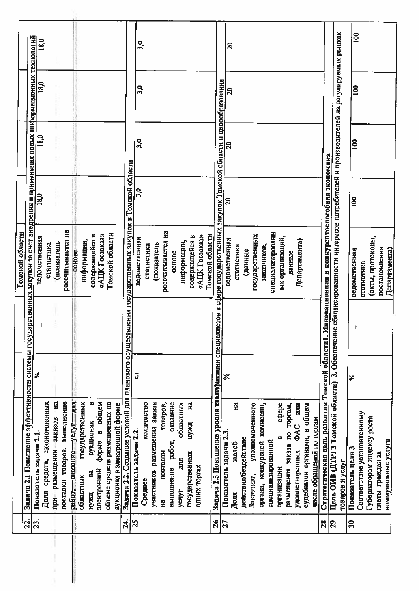|                 |                                                                                                                                   |          | Томской области   |              |                |              |                  |
|-----------------|-----------------------------------------------------------------------------------------------------------------------------------|----------|-------------------|--------------|----------------|--------------|------------------|
| 23.             | Задача 2.1 Повышение эффективностн системы государственных закупок за счет внедрения и применения новых информационных            |          |                   |              |                |              |                  |
| ဩ               | Показатель задачи 2.1                                                                                                             | $\aleph$ | ведомственная     | 18.0         |                |              | технологий       |
|                 | Доля средств, сэкономленных                                                                                                       |          |                   |              | 18,0           | 18,0         | 18,0             |
|                 | при размещении заказов                                                                                                            |          | статистнка        |              |                |              |                  |
|                 | Ha                                                                                                                                |          | (показатель       |              |                |              |                  |
|                 | выполнение<br>поставки товаров,                                                                                                   |          | рассчитывается на |              |                |              |                  |
|                 | <b>RITH-LINE</b><br>работ, оказание                                                                                               |          | основе            |              |                |              |                  |
|                 | государственных<br>областных                                                                                                      |          | информации,       |              |                |              |                  |
|                 | m<br>аукционах<br>Ed<br>нужд                                                                                                      |          | содержащейся в    |              |                |              |                  |
|                 | общем<br>m<br>форме<br>электронной                                                                                                |          | «AIIK Госзаказ»   |              |                |              |                  |
|                 | объеме средств размещенных на                                                                                                     |          | Томской областн   |              |                |              |                  |
|                 | аукционах в электронной форме                                                                                                     |          |                   |              |                |              |                  |
| 24.             | Задача 2.2. Создание условий для планового осуществления государственных закупок в Томской области                                |          |                   |              |                |              |                  |
| 25              | Показатель задачи 2.2.                                                                                                            | 5        | ведомственная     | 3,0          | 3,0            | 3,0          |                  |
|                 | количество<br>Среднее                                                                                                             |          | статистика        |              |                |              | 30 <sub>o</sub>  |
|                 | участников размещения заказа                                                                                                      |          | (показатель       |              |                |              |                  |
|                 | товаров,<br>поставки<br>Ha                                                                                                        |          | рассчитывается на |              |                |              |                  |
|                 | оказание<br>работ,<br>выполнение                                                                                                  |          | основе            |              |                |              |                  |
|                 | областных<br>Щ<br>ycnyr                                                                                                           |          | информации,       |              |                |              |                  |
|                 | 뎦<br>нужд<br>государственных                                                                                                      |          | содержащейся в    |              |                |              |                  |
|                 | одних торгах                                                                                                                      |          | «АЦК Госзаказ»    |              |                |              |                  |
|                 |                                                                                                                                   |          | Томской области   |              |                |              |                  |
| 26              | Задача 2.3 Повышение уровня квалификации специалистов в сфере государственных закупок Томской области и ценообразования           |          |                   |              |                |              |                  |
| 27              | Показатель задачи 2.3                                                                                                             | వ        | ведомственная     | $\mathbf{a}$ | $\mathbf{a}$   | $\mathbf{a}$ | $\boldsymbol{5}$ |
|                 | Ha<br>Jeanoe<br>Доля                                                                                                              |          | статистика        |              |                |              |                  |
|                 | действия/бездействие                                                                                                              |          | (данные           |              |                |              |                  |
|                 | уполномоченного<br>Заказчика,                                                                                                     |          | государственных   |              |                |              |                  |
|                 | органа, конкурсной комиссии,                                                                                                      |          | заказчиков,       |              |                |              |                  |
|                 | специализированной                                                                                                                |          | специализировани  |              |                |              |                  |
|                 | cobepe<br>m<br>организации                                                                                                        |          | ых организаций,   |              |                |              |                  |
|                 | размещения заказа по торгам,                                                                                                      |          | данные            |              |                |              |                  |
|                 | HIN<br><b>OAC</b><br>удовлетворенных                                                                                              |          | Департамента)     |              |                |              |                  |
|                 | судебными органами, в общем                                                                                                       |          |                   |              |                |              |                  |
|                 | числе обращений по торгам                                                                                                         |          |                   |              |                |              |                  |
| 28              | Стратегическая цель развития Томской области1. Инновационная и конкурентоспособная экономика                                      |          |                   |              |                |              |                  |
| $\overline{29}$ | Цель ОИВ (ДТРГЗ Томской области) 3. Обеспечение сбалансированности интересов потребителей и производителей на регулируемых рынках |          |                   |              |                |              |                  |
|                 | товаров и услуг                                                                                                                   |          |                   |              |                |              |                  |
| $\overline{30}$ | Показатель цели 3                                                                                                                 | $\infty$ | ведомственная     | $\mathbf{S}$ | $\overline{8}$ | $\mathbf{8}$ | <b>901</b>       |
|                 | Соответствие установленному                                                                                                       |          | статистика        |              |                |              |                  |
|                 | Губернатором индексу роста                                                                                                        |          | (акты, протоколы, |              |                |              |                  |
|                 | платы граждан за                                                                                                                  |          | постановления     |              |                |              |                  |
|                 | коммунальные услуги                                                                                                               |          | Департамента)     |              |                |              |                  |
|                 |                                                                                                                                   |          |                   |              |                |              |                  |

windows of continuum and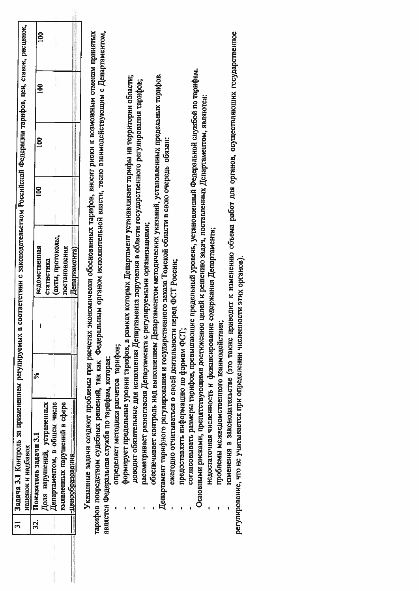| тарифов посредством судебных решений, так как Федеральным органом исполнительной власти, тесно взаимодействующим с Департаментом,<br>Указанные задачи создают проблемы при расчетах экономически обоснованных тарифов, вносят риски к возможным отменам принятых<br>является Федеральная служба по тарифам, которая:<br>= -щенообразования <del>— — — — — —</del><br>Департаментом, в общем числе<br>выявленных нарушений в сфере<br>Доля нарушений, устраненных<br>Показатель задачи 3.1<br>32. |                                                              | న్ | ведомственная                                                                                                         | $\mathbf{8}$ | $\overline{8}$ | $\mathbf{8}$ | $\mathbf{8}$ |
|--------------------------------------------------------------------------------------------------------------------------------------------------------------------------------------------------------------------------------------------------------------------------------------------------------------------------------------------------------------------------------------------------------------------------------------------------------------------------------------------------|--------------------------------------------------------------|----|-----------------------------------------------------------------------------------------------------------------------|--------------|----------------|--------------|--------------|
|                                                                                                                                                                                                                                                                                                                                                                                                                                                                                                  |                                                              |    |                                                                                                                       |              |                |              |              |
|                                                                                                                                                                                                                                                                                                                                                                                                                                                                                                  |                                                              |    | статистика                                                                                                            |              |                |              |              |
|                                                                                                                                                                                                                                                                                                                                                                                                                                                                                                  |                                                              |    | (акты, протоколы,                                                                                                     |              |                |              |              |
|                                                                                                                                                                                                                                                                                                                                                                                                                                                                                                  |                                                              |    | постановления                                                                                                         |              |                |              |              |
|                                                                                                                                                                                                                                                                                                                                                                                                                                                                                                  |                                                              |    | Департамента)                                                                                                         |              |                |              |              |
|                                                                                                                                                                                                                                                                                                                                                                                                                                                                                                  |                                                              |    |                                                                                                                       |              |                |              |              |
|                                                                                                                                                                                                                                                                                                                                                                                                                                                                                                  |                                                              |    |                                                                                                                       |              |                |              |              |
|                                                                                                                                                                                                                                                                                                                                                                                                                                                                                                  |                                                              |    |                                                                                                                       |              |                |              |              |
|                                                                                                                                                                                                                                                                                                                                                                                                                                                                                                  | определяет методики расчетов тарифов;                        |    |                                                                                                                       |              |                |              |              |
|                                                                                                                                                                                                                                                                                                                                                                                                                                                                                                  |                                                              |    | формирует предельные уровни тарифов, в рамках которых Департамент устанавливает тарифы на территории области;         |              |                |              |              |
|                                                                                                                                                                                                                                                                                                                                                                                                                                                                                                  |                                                              |    | доводит обязательные для исполнения Департамента поручения в области государственного регулирования тарифов;          |              |                |              |              |
|                                                                                                                                                                                                                                                                                                                                                                                                                                                                                                  |                                                              |    | рассматривает разногласия Департамента с регулируемыми организациями;                                                 |              |                |              |              |
|                                                                                                                                                                                                                                                                                                                                                                                                                                                                                                  |                                                              |    | обеспечивает контроль над выполнением Департаментом методических указаний, установленных предельных тарифов.          |              |                |              |              |
|                                                                                                                                                                                                                                                                                                                                                                                                                                                                                                  |                                                              |    | Департамент тарифного регулирования и государственного заказа Томской области в свою очередь обязан:                  |              |                |              |              |
|                                                                                                                                                                                                                                                                                                                                                                                                                                                                                                  | ежегодно огчитываться о своей деятельности перед ФСТ России; |    |                                                                                                                       |              |                |              |              |
|                                                                                                                                                                                                                                                                                                                                                                                                                                                                                                  | предоставлять информацию по формам ФСТ;                      |    |                                                                                                                       |              |                |              |              |
|                                                                                                                                                                                                                                                                                                                                                                                                                                                                                                  |                                                              |    | согласовывать размеры тарифов, превышающие предельный уровень, установленный Федеральной службой по тарифам.          |              |                |              |              |
|                                                                                                                                                                                                                                                                                                                                                                                                                                                                                                  | Основными рисками, препятствующими достижению                |    | целей и решению задач, поставленных Департаментом, являются:                                                          |              |                |              |              |
|                                                                                                                                                                                                                                                                                                                                                                                                                                                                                                  |                                                              |    | недостаточная численность и финансирование содержания Департамента;                                                   |              |                |              |              |
|                                                                                                                                                                                                                                                                                                                                                                                                                                                                                                  | проблемы межведомственного взаимодействия;                   |    |                                                                                                                       |              |                |              |              |
|                                                                                                                                                                                                                                                                                                                                                                                                                                                                                                  |                                                              |    | изменения в законодательстве (это также приводит к изменению объема работ для органов, осуществляющих государственное |              |                |              |              |
| регулирование, что не учитывается при определении численности этих органов),                                                                                                                                                                                                                                                                                                                                                                                                                     |                                                              |    |                                                                                                                       |              |                |              |              |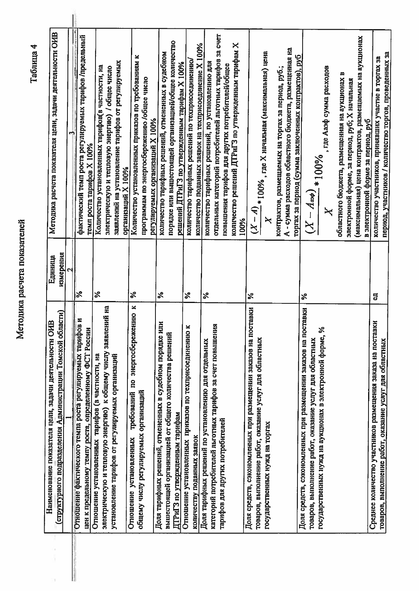Методика расчета показателей

í,

j.

Таблица 4

| Наименование показателя цели, задачи деятельности ОИВ          | Единица                    | Методнка расчета показателя цели, задачи деятельности ОИВ                            |
|----------------------------------------------------------------|----------------------------|--------------------------------------------------------------------------------------|
| (структурного подразделения Администрации Томской области)     | измерения                  |                                                                                      |
|                                                                |                            |                                                                                      |
| Отношение фактического темпа роста регулируемых тарифов        | $\approx$                  |                                                                                      |
| z<br>цен к предельному темпу роста, определенному ФСТ России   |                            | фактический темп роста регулируемых тарифов /предельный<br>темп роста тарифов Х 100% |
| Отношение установленных тарифов (в частностн, на               | వి                         | Количество установленных тарифов(в частности, на                                     |
| знектрическую и тепловую энергию) к общему числу заявлений на  |                            | электрическую и тепловую энергию) / общее число                                      |
| установление тарифов от регулируемых организаций               |                            | заявлений на установление тарифов от регулируемых                                    |
|                                                                |                            | организаций Х 100%                                                                   |
| ×<br>требований по энергосбережению<br>Отношение установленных | ℅                          | Количество установленных приказов по требованиям к                                   |
| общему числу регулируемых организаций                          |                            | программам по энергосбережению /общее число                                          |
|                                                                |                            | регулируемых организаций Х 100%                                                      |
| z<br>Доля тарифных решений, отмененных в судебном порядке ил   | న                          | количество тарифных решений, отмененных в судебном                                   |
| вышестоящей организацией от общего количества решений          |                            | порядке или вышестоящей организацией/общее количество                                |
| ДТРиГЗ по утвержденным тарифам                                 |                            | решений ДТРиГЗ по утвержденным тарифам Х 100%                                        |
| Отношение установленных приказов по техприсоединению к         | న                          | количество тарифных решений по техприсоединенно/                                     |
| количеству поданных заявок                                     |                            | количество поданных заявок на техприсоединение Х 100%                                |
| Доля тарифных решений по установлению для отдельных            | ℅                          | количество тарифных решений, по установлению для                                     |
| категорий потребителей льготных тарифов за счет повышения      |                            | отдельных категорий потребителей льготных тарифов за счет                            |
| тарифов для других потребителей                                |                            |                                                                                      |
|                                                                |                            | повышения тарифов для других потребителей/общее                                      |
|                                                                |                            | количество решений ДТРиГЗ по утвержденным тарифам Х<br>100%                          |
| Доля средств, сэкономленных при размещении заказов на поставки | వ్                         |                                                                                      |
| товаров, выполнение работ, оказание услуг для областных        |                            |                                                                                      |
| государственных нужд на торгах                                 |                            | $\frac{(X-A)}{(X-A)}*100\%$ , где X начальная (максимальная) цена                    |
|                                                                |                            | контрактов, размещаемых на торгах за период, руб.;                                   |
|                                                                |                            | А - сумма расходов областного бюджета, размещенная на                                |
| Доля средств, сэкономленных при размещении заказов на поставки |                            | торгах за период (сумма заключенных контрактов), руб                                 |
| товаров, выполнение работ, оказание услуг для областных        | $\boldsymbol{\mathcal{E}}$ | $\widetilde{\mathcal{X}}$                                                            |
|                                                                |                            |                                                                                      |
| государственных нужд на аукционах в электронной форме, %       |                            | $\frac{-A_{\alpha\phi})}{\sqrt{100\%}}$ , где Ааэф сумма расходов                    |
|                                                                |                            | областного бюджета, размещенная на аукционах в                                       |
|                                                                |                            | электронной форме, за период, руб; Х начальная                                       |
|                                                                |                            | (максимальная) цена контрактов, размещаемых на аукционах                             |
|                                                                |                            | в электронной форме за период, руб                                                   |
| Среднее количество участников размещения заказа на поставки    | 5                          | количество участников, принявших участие в торгах за                                 |
| товаров, выполнение работ, оказание услуг для областных        |                            | период, участников / количество торгов, проведенных за                               |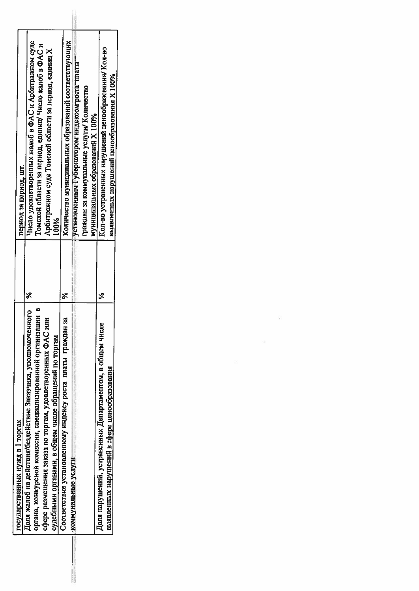| государственных нужд в 1 торгах                                                                                                                                                                                                                       |          | период за период, шт.                                                                                                                                                          |
|-------------------------------------------------------------------------------------------------------------------------------------------------------------------------------------------------------------------------------------------------------|----------|--------------------------------------------------------------------------------------------------------------------------------------------------------------------------------|
| Доля жалоб на действия/бездействие Заказчика, уполномоченного<br>органа, конкурсной комиссии, специализированной организации и<br>сфере размещения заказа по торгам, удовлетворенных ФАС или<br>судебными органами, в общем числе обращений по торгам |          | Число удовлетворенных жалоб в ФАС и Арбитражном суде<br>Томской области за период, единиц/ Число жалоб в ФАС и<br>Арбитражном суде Томской области за период, единиц Х<br>100% |
| ă<br>Соответствие установленному индексу роста платы граждан з                                                                                                                                                                                        |          | Количество муниципальных образований соответствующих                                                                                                                           |
| - климунальные услуги                                                                                                                                                                                                                                 |          | установленным Губернатором индексом роста платы-                                                                                                                               |
|                                                                                                                                                                                                                                                       |          | граждан за коммунальные услуги/ Количество                                                                                                                                     |
|                                                                                                                                                                                                                                                       |          | муниципальных образований X 100%                                                                                                                                               |
| Доля нарушений, устраненных Департаментом, в общем числе                                                                                                                                                                                              | <b>پ</b> | Кол-во устраненных нарушений ценообразования/ Кол-во                                                                                                                           |
| выявленных нарушений в сфере ценообразования                                                                                                                                                                                                          |          | выявленных нарушений ценообразования Х 100%                                                                                                                                    |

 $\Omega$  . <br> <br> :  $\Omega$ 

 $\mathbb{R}^n$  . In the set of  $\mathbb{R}^n$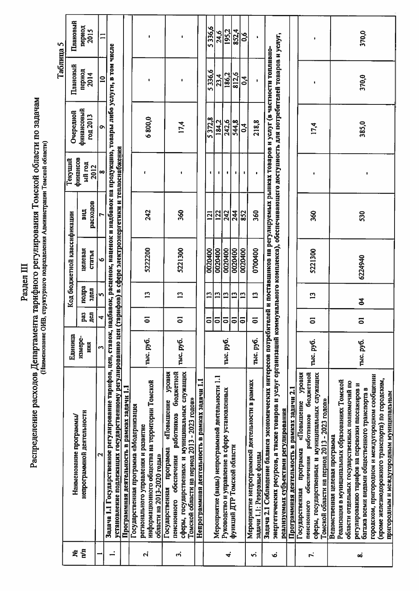| E |
|---|
|   |

## Распределение расходов Департамента тарифного регулирования Томской области по задачам

|     |                                                                                                                                                                                                                                                                                                                                                |           |                      |                |                             |              |                     |                | Таблица 5      |                      |
|-----|------------------------------------------------------------------------------------------------------------------------------------------------------------------------------------------------------------------------------------------------------------------------------------------------------------------------------------------------|-----------|----------------------|----------------|-----------------------------|--------------|---------------------|----------------|----------------|----------------------|
| ደ   | Нанменование программы/                                                                                                                                                                                                                                                                                                                        | Единица   |                      |                | Код бюджетной классификации |              | финансов<br>Текущий | Очередной      | Плановый       | Плановый             |
| Γ'n | непрограммной деятельности                                                                                                                                                                                                                                                                                                                     | измере-   | pa3                  | подра          | целевая                     | <b>BHLIT</b> | ый год              | финансовый     | период         | пернод               |
|     |                                                                                                                                                                                                                                                                                                                                                | ния       | $\overline{a}$       | здел           | статья                      | расходов     | 2012                | год 2013       | 2014           | 2015                 |
|     | ٦                                                                                                                                                                                                                                                                                                                                              | m         | 4                    | 5              | o                           |              | $\infty$            | Ō              | $\mathbf{a}$   | $\mathbf{I}$         |
|     | Задача 1.1 Государственное регулирование тарифов, цен, ставок, надбавок, расценок, наценок на продукцию, товары либо услуги, в том числе<br>установление подлежащих государственному регулированию цен (тарифов) в сфере электроэнергетнки и теплоснабжения                                                                                    |           |                      |                |                             |              |                     |                |                |                      |
|     | Программная деятельность в рамках задачи 1.1                                                                                                                                                                                                                                                                                                   |           |                      |                |                             |              |                     |                |                |                      |
| Ń   | информационного общества на территории Томской<br>Государственная программа «Модернизация<br>регионального управления и развитие<br>области на 2013-2020 годы»                                                                                                                                                                                 | тыс. руб. | $\overline{\bullet}$ | $\mathbf{L}$   | 5222200                     | 242          | $\mathbf{r}$        | 6800,0         |                |                      |
| က   | сферы, государственных и муниципальных служащих<br>работников бюджетной<br>уровня<br>Томской области на период 2013 - 2023 годов»<br>«Повышение<br>программа<br>пенсионного обеспечения<br>Государственная                                                                                                                                     | тыс. руб. | 5                    | $\mathbf{r}$   | 5221300                     | 360          |                     | 17,4           |                |                      |
|     | Непрограммная деятельность в рамках задачи 1.1                                                                                                                                                                                                                                                                                                 |           |                      |                |                             |              |                     |                |                |                      |
|     |                                                                                                                                                                                                                                                                                                                                                |           | ຣ                    | $\mathbf{r}$   | 0020400                     | 121          |                     | 5372,8         | 5336,6         | 5336,6               |
|     | Мероприятие (виды) непрограммной деятельности 1.1                                                                                                                                                                                                                                                                                              |           | 5                    | 13             | 0020400                     | 122          | ٠                   | 184,2          | 23,4           |                      |
| ≼   | Руководство и управление в сфере установленных                                                                                                                                                                                                                                                                                                 | тыс. руб. | ត                    | $\mathbf{L}$   | 0020400                     | 242          |                     | 242,6          | 186,2          | $\frac{24.6}{195.2}$ |
|     | функций ДТР Томской области                                                                                                                                                                                                                                                                                                                    |           | $\overline{\bullet}$ | $\mathbf{C}$   | 0020400                     | 244          |                     | 544,8          | 812,6          | 852.4                |
|     |                                                                                                                                                                                                                                                                                                                                                |           | $\overline{\bullet}$ | $\mathbf{r}$   | 0020400                     | 852          | ٠                   | 3 <sub>1</sub> | $\overline{0}$ | 0,6                  |
| ń   | Мероприятие непрограммной деятельности в рамках<br>задачи 1.1: Резервные фонды                                                                                                                                                                                                                                                                 | тыс. руб. | $\overline{5}$       | $\mathbf{r}$   | 0700400                     | 360          |                     | 218,8          | t              | ٠                    |
| Ó,  | энергетических ресурсов, а также товаров и услуг организаций коммунального комплекса), обеспечивающего доступность для потребителей товаров и услуг,<br>Задача 2.1 Соблюдение баланса экономических интересов потребителей и поставшиков на регулируемых рынках товаров и услуг (в частности топливно-<br>реалнзуемых субъектами регулирования |           |                      |                |                             |              |                     |                |                |                      |
|     | Программная деятельность в рамках задачи 2.1                                                                                                                                                                                                                                                                                                   |           |                      |                |                             |              |                     |                |                |                      |
|     | уровня<br>бюджетной<br>«Повышение<br>обеспечения работников<br>программа<br>Государственная<br>пенсионного                                                                                                                                                                                                                                     |           |                      |                |                             |              |                     |                |                |                      |
| Γ,  | сферы, государственных и муниципальных служащих<br>Томской области на период 2013 - 2023 годов»                                                                                                                                                                                                                                                | тыс. руб. | 5                    | $\overline{a}$ | 5221300                     | 360          |                     | 17,4           |                | ٠                    |
|     | Ведомственная целевая программа                                                                                                                                                                                                                                                                                                                |           |                      |                |                             |              |                     |                |                |                      |
|     | Реализация в муниципальных образованиях Томской                                                                                                                                                                                                                                                                                                |           |                      |                |                             |              |                     |                |                |                      |
| စ   | области отдельных государственных полномочий по<br>регулированию тарифов на перевозки пассажиров и                                                                                                                                                                                                                                             |           |                      |                |                             |              |                     |                |                |                      |
|     | багажа всеми видами общественного транспорта в                                                                                                                                                                                                                                                                                                 | тыс. руб. | 5                    | $\mathbf{z}$   | 6224940                     | 530          | $\mathbf{I}$        | 385,0          | 370,0          | 370,0                |
|     | городском, пригородном и междугородном сообщении<br>(кроме железнодорожного транспорта) по городским,                                                                                                                                                                                                                                          |           |                      |                |                             |              |                     |                |                |                      |
|     | пригородным и междугородным муниципальным                                                                                                                                                                                                                                                                                                      |           |                      |                |                             |              |                     |                |                |                      |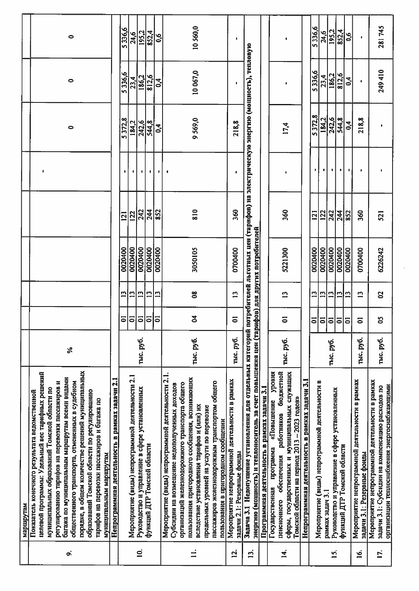| o,           | порядке, в общем количестве решений муниципальных<br>целевой программы: Удельный вес тарифных решений<br>багажа по муниципальным маршрутам всеми видами<br>общественного транспорта, отмененных в судебном<br>регулированию тарифов на перевозки пассажиров и<br>муниципальных образований Томской области по<br>Показатель конечного результата ведомственной<br>образований Томской области по регулированию<br>тарифов на перевозки пассажиров и багажа по<br>муниципальным маршрутам<br>маршрутам | న         |                                        |                    |                               |               | p                    | $\bullet$                                                                         | $\bullet$      | 0             |  |
|--------------|-------------------------------------------------------------------------------------------------------------------------------------------------------------------------------------------------------------------------------------------------------------------------------------------------------------------------------------------------------------------------------------------------------------------------------------------------------------------------------------------------------|-----------|----------------------------------------|--------------------|-------------------------------|---------------|----------------------|-----------------------------------------------------------------------------------|----------------|---------------|--|
|              | Непрограммная деятельность в рамках задачи 2.1                                                                                                                                                                                                                                                                                                                                                                                                                                                        |           |                                        |                    |                               |               |                      |                                                                                   |                |               |  |
|              |                                                                                                                                                                                                                                                                                                                                                                                                                                                                                                       |           | ຣ                                      | ግ                  | 0020400                       | 121           |                      | 5372.8                                                                            | 5336,6         | 5336,6        |  |
| $\mathbf{0}$ | Мероприятие (виды) непрограммной деятельности 2.1<br>Руководство и управление в сфере установленных                                                                                                                                                                                                                                                                                                                                                                                                   | тыс. руб. | $\overline{a}$<br>$\overline{\bullet}$ | 13<br>$\mathbf{r}$ | 0020400<br>0020400            | 242<br>122    | 0                    | 242,6<br>184,2                                                                    | 186,2<br>23,4  | 195,2<br>24,6 |  |
|              | функций ДТР Томской области                                                                                                                                                                                                                                                                                                                                                                                                                                                                           |           | $\overline{\bullet}$                   | $\mathbf{r}$       | 0020400                       | 244           | $\mathbf{r}$         | 544,8                                                                             | 812,6          | 852,4         |  |
|              |                                                                                                                                                                                                                                                                                                                                                                                                                                                                                                       |           | $\overline{\bullet}$                   | $\mathbf{r}$       | 0020400                       | 852           | $\pmb{\mathfrak{g}}$ | $\mathbf{c}^4$                                                                    | $\mathbf{S}^4$ | $\mathbf{0}$  |  |
|              | Мероприятие (виды) непрограммной деятельности 2.1.<br>пользования пригородного сообщения, возникающих<br>организаций железнодорожного транспорта общего<br>Субсидни на возмещение недополученных доходов                                                                                                                                                                                                                                                                                              |           |                                        |                    |                               |               |                      |                                                                                   |                |               |  |
|              | пассажиров железнодорожным транспортом общего<br>вследствие установления тарифов и (или) их<br>предельных уровней на услуги по перевозке                                                                                                                                                                                                                                                                                                                                                              | тыс. руб. | 2                                      | $\frac{8}{2}$      | 3050105                       | $\frac{8}{8}$ |                      | 9569,0                                                                            | 10067,0        | 10560,0       |  |
|              | пользования в пригородном сообщении                                                                                                                                                                                                                                                                                                                                                                                                                                                                   |           |                                        |                    |                               |               |                      |                                                                                   |                |               |  |
| <u>ี่ค</u>   | Мероприятие непрограммной деятельности в рамках<br>задачи 2.1: Резервные фонды                                                                                                                                                                                                                                                                                                                                                                                                                        | тыс. руб. | $\overline{\bullet}$                   | $\mathbf{L}$       | 0700400                       | 360           | $\blacksquare$       | 218,8                                                                             | <b>g</b>       | ٠             |  |
| <u>ri</u>    | энергию (мощность) и теплоноситель за счет повышения цен (тар<br>Задача 3.1 Недопущение установления для отдельных категорий                                                                                                                                                                                                                                                                                                                                                                          |           |                                        |                    | нфов) для другнх потребителей |               |                      | потребителей льготных цен (тарифов) на электрическую энергию (мощность), тепловую |                |               |  |
|              | Программная деятельность в рамках задачи 3.1                                                                                                                                                                                                                                                                                                                                                                                                                                                          |           |                                        |                    |                               |               |                      |                                                                                   |                |               |  |
| $\vec{4}$    | сферы, государственных и муниципальных служащих<br>уровня<br>работников бюджетной<br>«Повышение<br>программа<br>пенсионного обеспечения<br>Государственная                                                                                                                                                                                                                                                                                                                                            | тыс. руб. | 5                                      | $\mathbf{r}$       | 5221300                       | 360           | ,                    | 17,4                                                                              | ٠              | $\mathbf{I}$  |  |
|              | Непрограммная деятельность в рамках задачи 3.1<br>Томской области на период 2013 - 2023 годов»                                                                                                                                                                                                                                                                                                                                                                                                        |           |                                        |                    |                               |               |                      |                                                                                   |                |               |  |
|              |                                                                                                                                                                                                                                                                                                                                                                                                                                                                                                       |           | ā                                      | $\mathbf{r}$       | 0020400                       | <u>121</u>    |                      | 5372,8                                                                            | 5336,6         | 5336,6        |  |
|              | Мероприятие (виды) непрограммной деятельности в<br>рамках задач 3.1                                                                                                                                                                                                                                                                                                                                                                                                                                   |           | ā                                      | $\mathbf{r}$       | 0020400                       | 122           | ٠                    | 184.2                                                                             | 23,4           | 24,6          |  |
| <u>15.</u>   | Руководство и управление в сфере установленных                                                                                                                                                                                                                                                                                                                                                                                                                                                        | тыс. руб. | $\overline{\bullet}$                   | $\mathbf{r}$       | 0020400                       | 242           | ٠                    | 242,6                                                                             | 186.2          | 195,2         |  |
|              | функций ДТР Томской области                                                                                                                                                                                                                                                                                                                                                                                                                                                                           |           | ē                                      | 13                 | 0020400                       | 244           | ٠                    | 544,8                                                                             | 812,6          | 852,4         |  |
|              |                                                                                                                                                                                                                                                                                                                                                                                                                                                                                                       |           | $\overline{\bullet}$                   | $\mathbf{r}$       | 0020400                       | 852           |                      | 0,4                                                                               | 0,4            | 0,6           |  |
| <u>ية</u>    | Мероприятие непрограммной деятельности в рамках<br>задачи 3.1: Резервные фонды                                                                                                                                                                                                                                                                                                                                                                                                                        | тыс. руб. | $\overline{5}$                         | $\mathbf{C}$       | 0700400                       | 360           | ٠                    | 218,8                                                                             | $\blacksquare$ | t             |  |
| 17.          | Мероприятие непрограммной деятельности в рамках<br>организации теплоснабжения энергоснабжающими<br>задачи 3.1: Субсидни на компенсацию расходов по                                                                                                                                                                                                                                                                                                                                                    | тыс. руб. | ဉ္                                     | 2                  | 6226242                       | 521           |                      | ٠                                                                                 | 249410         | 281 745       |  |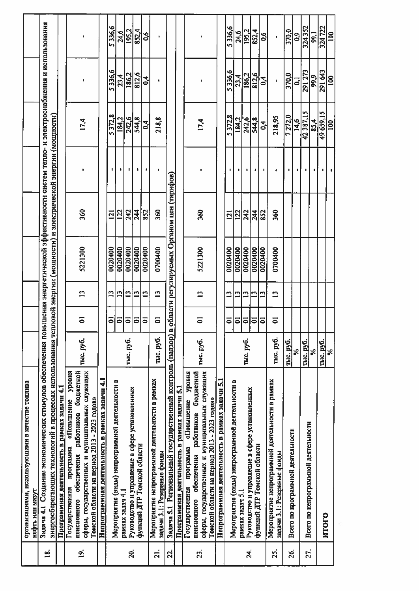|                   | организациями, использующими в качестве топлива                                                                                                |            |                      |              |                                            |            |   |                  |              |                  |  |
|-------------------|------------------------------------------------------------------------------------------------------------------------------------------------|------------|----------------------|--------------|--------------------------------------------|------------|---|------------------|--------------|------------------|--|
|                   | нефть или мазут                                                                                                                                |            |                      |              |                                            |            |   |                  |              |                  |  |
| $\tilde{a}$       | 3адача 4.1 Создание экономических стимулов обеспечения повышения энергетической эффективности систем тепло- и электроснабжения и использования |            |                      |              |                                            |            |   |                  |              |                  |  |
|                   | энергосберегающих технологий в процессах использования тепловой энергии (мощности) и электрической энергии (мощностн)                          |            |                      |              |                                            |            |   |                  |              |                  |  |
|                   | Программная деятельность в рамках задачи 4.1                                                                                                   |            |                      |              |                                            |            |   |                  |              |                  |  |
|                   | Государственная программа «Повышение уровия                                                                                                    |            |                      |              |                                            |            |   |                  |              |                  |  |
| $\vec{p}$         | работников бюджетной<br>пенсионного обеспечения                                                                                                | тыс. руб.  | 5                    | $\mathbf{C}$ | 5221300                                    | 360        |   |                  |              |                  |  |
|                   | сферы, государственных и муниципальных служащих<br>Томской области на период 2013 - 2023 годов»                                                |            |                      |              |                                            |            |   | 17,4             |              | $\blacksquare$   |  |
|                   | Непрограммная деятельность в рамках задачи 4.1                                                                                                 |            |                      |              |                                            |            |   |                  |              |                  |  |
|                   |                                                                                                                                                |            | ຣ                    | $\mathbf{r}$ | 0020400                                    | <u>izi</u> |   | 5372,8           | 5336.6       | 5336,6           |  |
|                   | Мероприятие (виды) непрограммной деятельности в<br>рамках задач 4.1                                                                            |            | $\overline{\bullet}$ | $\mathbf{C}$ | 0020400                                    | 122        | 0 | 184,2            | 23,4         | 24,6             |  |
| 20.               | Руководство и управление в сфере установленных                                                                                                 | тыс. руб.  | $\overline{5}$       | $\mathbf{C}$ | 0020400                                    | 242        | ٠ | 242,6            | 186,2        | 195,2            |  |
|                   | функций ДТР Томской области                                                                                                                    |            | $\overline{5}$       | $\mathbf{r}$ | 0020400                                    | 244        |   | 544,8            | 812,6        | 852,4            |  |
|                   |                                                                                                                                                |            | $\overline{a}$       | $\mathbf{u}$ | 0020400                                    | 852        |   | 0,4              | 0,4          | 0,6              |  |
| $\overline{21}$ . | Мероприятие непрограммной деятельности в рамках<br>задачи 3.1: Резервные фонды                                                                 | тыс. руб.  | 5                    | $\mathbf{r}$ | 0700400                                    | 360        |   | 218,8            | t            | ٠                |  |
| <u>ន្</u>         | Задача 5.1 Региональный государственный контроль (надзор) в                                                                                    |            |                      |              | области регулируемых Органом цен (тарифов) |            |   |                  |              |                  |  |
|                   | Программная деятельность в рамках задачи 5.1                                                                                                   |            |                      |              |                                            |            |   |                  |              |                  |  |
|                   | уровня<br>«Повышение<br>программа<br>Государственная                                                                                           |            |                      |              |                                            |            |   |                  |              |                  |  |
| 23.               | работников бюджетной<br>пенсионного обеспечения                                                                                                |            | ៑                    |              |                                            |            |   |                  |              |                  |  |
|                   | сферы, государственных и муниципальных служащих<br>Томской области на период 2013 - 2023 годов»                                                | Thic, py6. |                      | $\mathbf{r}$ | 5221300                                    | 360        |   | 17,4             |              |                  |  |
|                   | Непрограммная деятельность в рамках задачи 5.1                                                                                                 |            |                      |              |                                            |            |   |                  |              |                  |  |
|                   |                                                                                                                                                |            | $\overline{\bullet}$ | $\mathbf{r}$ | 0020400                                    | 121        | ٠ | 5372,8           | 5336.6       | 5336.6           |  |
|                   | Мероприятие (виды) непрограммной деятельности в<br>рамках задач 5.1                                                                            |            | $\overline{\bullet}$ | $\mathbf{r}$ | 0020400                                    | 122        |   | 184.2            | 23,4         | 24,6             |  |
| 24.               | Руководство и управление в сфере установленных                                                                                                 | тыс. руб.  | $\overline{\bullet}$ | ግ            | 0020400                                    | 242        |   | 242.6            | 186.2        | 195.2            |  |
|                   | функций ДТР Томской области                                                                                                                    |            | ∣ຣ                   | $\mathbf{r}$ | 0020400                                    | 244        |   | 544.8            | 812,6        | 852.4            |  |
|                   |                                                                                                                                                |            | $\overline{\circ}$   | $\mathbf{L}$ | 0020400                                    | 852        |   | 0,4              | 0,4          | ٥,6              |  |
| 25.               | Мероприятие непрограммной деятельности в рамках<br>задачи 3.1: Резервные фонды                                                                 | тыс. руб.  | 5                    | $\mathbf{C}$ | 0700400                                    | 360        |   | 218,95           |              |                  |  |
| 26.               | Всего по программной деятельности                                                                                                              | тыс. руб.  |                      |              |                                            |            |   | 7272.0           | 370.0        | 370.0            |  |
|                   |                                                                                                                                                | వి         |                      |              |                                            |            |   | 14,6             | ្ជ           | $\ddot{\bullet}$ |  |
| 27.               | Всего по непрограммной деятельности                                                                                                            | Thic. py6. |                      |              |                                            |            |   | 42387.15         | 291 273      | 324352           |  |
|                   |                                                                                                                                                | ℅          |                      |              |                                            |            |   | 85,4             | 99,9         | 99,1             |  |
|                   | <b>NTOLO</b>                                                                                                                                   | Thic. py6. |                      |              |                                            |            |   | 49 659 15<br>100 | 291643       | 324 722          |  |
|                   |                                                                                                                                                | Se<br>Se   |                      |              |                                            |            |   |                  | $\mathbf{S}$ | $\overline{5}$   |  |